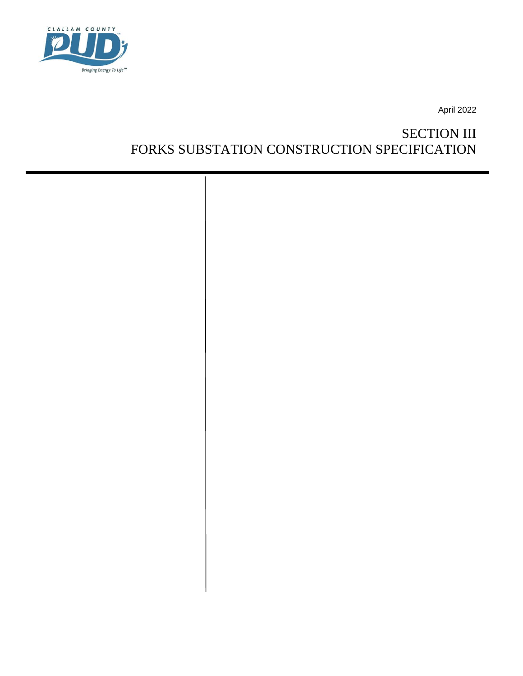

April 2022

# SECTION III FORKS SUBSTATION CONSTRUCTION SPECIFICATION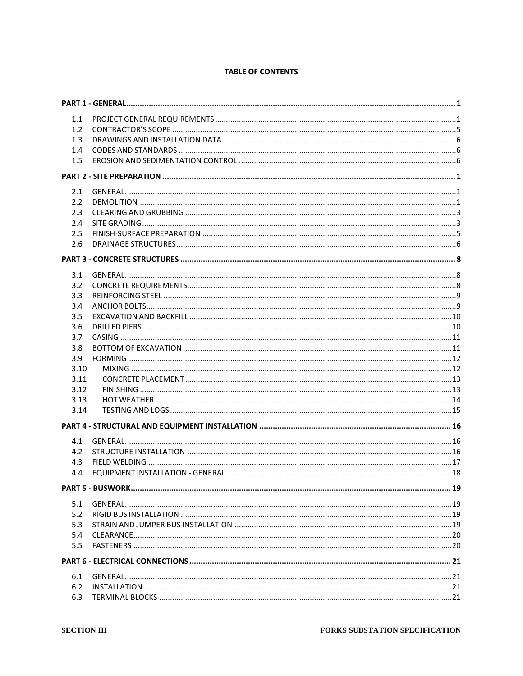### **TABLE OF CONTENTS**

| 1.1  |  |
|------|--|
| 1.2  |  |
| 1.3  |  |
| 1.4  |  |
| 1.5  |  |
|      |  |
|      |  |
| 2.1  |  |
| 2.2  |  |
| 2.3  |  |
| 2.4  |  |
| 2.5  |  |
| 2.6  |  |
|      |  |
| 3.1  |  |
| 3.2  |  |
| 3.3  |  |
| 3.4  |  |
| 3.5  |  |
| 3.6  |  |
| 3.7  |  |
| 3.8  |  |
| 3.9  |  |
| 3.10 |  |
| 3.11 |  |
| 3.12 |  |
| 3.13 |  |
| 3.14 |  |
|      |  |
|      |  |
| 4.1  |  |
| 4.2  |  |
| 4.3  |  |
| 4.4  |  |
|      |  |
| 5.1  |  |
| 5.2  |  |
| 5.3  |  |
| 5.4  |  |
| 5.5  |  |
|      |  |
|      |  |
| 6.1  |  |
| 6.2  |  |
| 6.3  |  |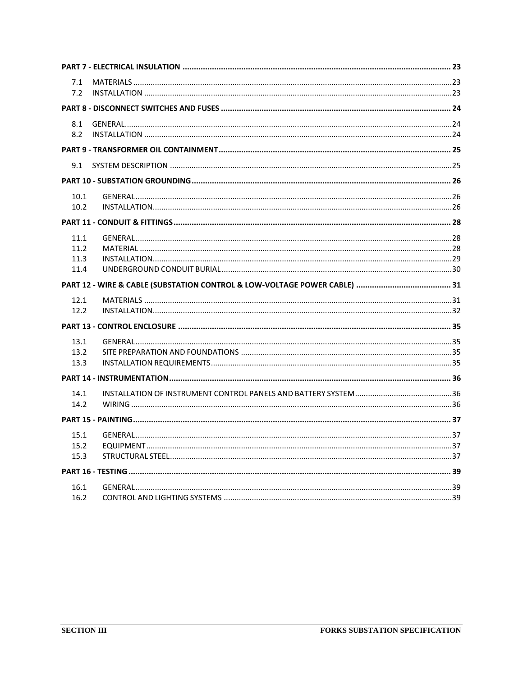| 7.1          |  |
|--------------|--|
| 7.2          |  |
|              |  |
| 8.1          |  |
| 8.2          |  |
|              |  |
| 9.1          |  |
|              |  |
| 10.1         |  |
| 10.2         |  |
|              |  |
| 11.1         |  |
| 11.2         |  |
| 11.3         |  |
| 11.4         |  |
|              |  |
|              |  |
| 12.1         |  |
| 12.2         |  |
|              |  |
| 13.1         |  |
| 13.2         |  |
| 13.3         |  |
|              |  |
| 14.1         |  |
| 14.2         |  |
|              |  |
|              |  |
| 15.1<br>15.2 |  |
| 15.3         |  |
|              |  |
| 16.1         |  |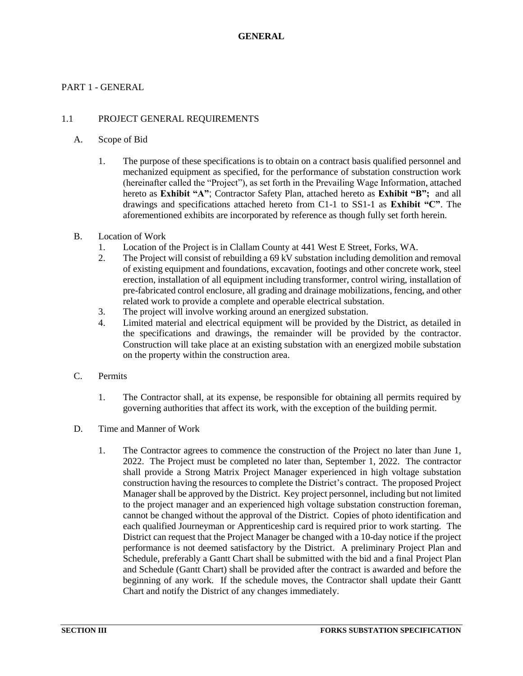### <span id="page-3-1"></span><span id="page-3-0"></span>PART 1 - GENERAL

### 1.1 PROJECT GENERAL REQUIREMENTS

#### A. Scope of Bid

- 1. The purpose of these specifications is to obtain on a contract basis qualified personnel and mechanized equipment as specified, for the performance of substation construction work (hereinafter called the "Project"), as set forth in the Prevailing Wage Information, attached hereto as **Exhibit "A"**; Contractor Safety Plan, attached hereto as **Exhibit "B";** and all drawings and specifications attached hereto from C1-1 to SS1-1 as **Exhibit "C"**. The aforementioned exhibits are incorporated by reference as though fully set forth herein.
- B. Location of Work
	- 1. Location of the Project is in Clallam County at 441 West E Street, Forks, WA.
	- 2. The Project will consist of rebuilding a 69 kV substation including demolition and removal of existing equipment and foundations, excavation, footings and other concrete work, steel erection, installation of all equipment including transformer, control wiring, installation of pre-fabricated control enclosure, all grading and drainage mobilizations, fencing, and other related work to provide a complete and operable electrical substation.
	- 3. The project will involve working around an energized substation.
	- 4. Limited material and electrical equipment will be provided by the District, as detailed in the specifications and drawings, the remainder will be provided by the contractor. Construction will take place at an existing substation with an energized mobile substation on the property within the construction area.
- C. Permits
	- 1. The Contractor shall, at its expense, be responsible for obtaining all permits required by governing authorities that affect its work, with the exception of the building permit.
- D. Time and Manner of Work
	- 1. The Contractor agrees to commence the construction of the Project no later than June 1, 2022. The Project must be completed no later than, September 1, 2022. The contractor shall provide a Strong Matrix Project Manager experienced in high voltage substation construction having the resources to complete the District's contract. The proposed Project Manager shall be approved by the District. Key project personnel, including but not limited to the project manager and an experienced high voltage substation construction foreman, cannot be changed without the approval of the District. Copies of photo identification and each qualified Journeyman or Apprenticeship card is required prior to work starting. The District can request that the Project Manager be changed with a 10-day notice if the project performance is not deemed satisfactory by the District. A preliminary Project Plan and Schedule, preferably a Gantt Chart shall be submitted with the bid and a final Project Plan and Schedule (Gantt Chart) shall be provided after the contract is awarded and before the beginning of any work. If the schedule moves, the Contractor shall update their Gantt Chart and notify the District of any changes immediately.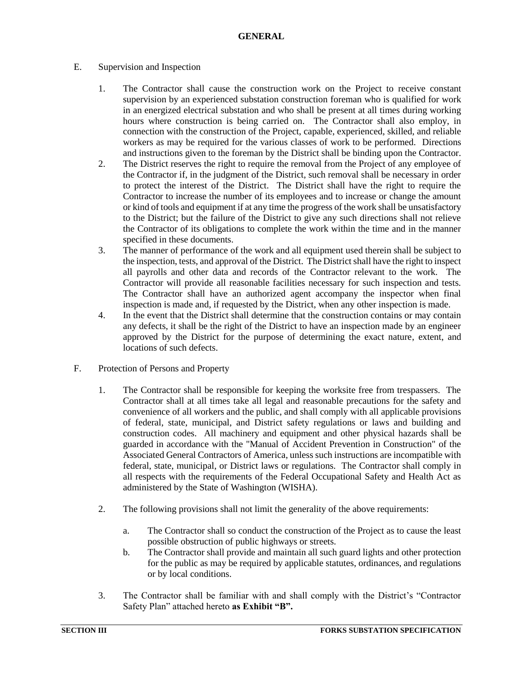### E. Supervision and Inspection

- 1. The Contractor shall cause the construction work on the Project to receive constant supervision by an experienced substation construction foreman who is qualified for work in an energized electrical substation and who shall be present at all times during working hours where construction is being carried on. The Contractor shall also employ, in connection with the construction of the Project, capable, experienced, skilled, and reliable workers as may be required for the various classes of work to be performed. Directions and instructions given to the foreman by the District shall be binding upon the Contractor.
- 2. The District reserves the right to require the removal from the Project of any employee of the Contractor if, in the judgment of the District, such removal shall be necessary in order to protect the interest of the District. The District shall have the right to require the Contractor to increase the number of its employees and to increase or change the amount or kind of tools and equipment if at any time the progress of the work shall be unsatisfactory to the District; but the failure of the District to give any such directions shall not relieve the Contractor of its obligations to complete the work within the time and in the manner specified in these documents.
- 3. The manner of performance of the work and all equipment used therein shall be subject to the inspection, tests, and approval of the District. The District shall have the right to inspect all payrolls and other data and records of the Contractor relevant to the work. The Contractor will provide all reasonable facilities necessary for such inspection and tests. The Contractor shall have an authorized agent accompany the inspector when final inspection is made and, if requested by the District, when any other inspection is made.
- 4. In the event that the District shall determine that the construction contains or may contain any defects, it shall be the right of the District to have an inspection made by an engineer approved by the District for the purpose of determining the exact nature, extent, and locations of such defects.
- F. Protection of Persons and Property
	- 1. The Contractor shall be responsible for keeping the worksite free from trespassers. The Contractor shall at all times take all legal and reasonable precautions for the safety and convenience of all workers and the public, and shall comply with all applicable provisions of federal, state, municipal, and District safety regulations or laws and building and construction codes. All machinery and equipment and other physical hazards shall be guarded in accordance with the "Manual of Accident Prevention in Construction" of the Associated General Contractors of America, unless such instructions are incompatible with federal, state, municipal, or District laws or regulations. The Contractor shall comply in all respects with the requirements of the Federal Occupational Safety and Health Act as administered by the State of Washington (WISHA).
	- 2. The following provisions shall not limit the generality of the above requirements:
		- a. The Contractor shall so conduct the construction of the Project as to cause the least possible obstruction of public highways or streets.
		- b. The Contractor shall provide and maintain all such guard lights and other protection for the public as may be required by applicable statutes, ordinances, and regulations or by local conditions.
	- 3. The Contractor shall be familiar with and shall comply with the District's "Contractor Safety Plan" attached hereto **as Exhibit "B".**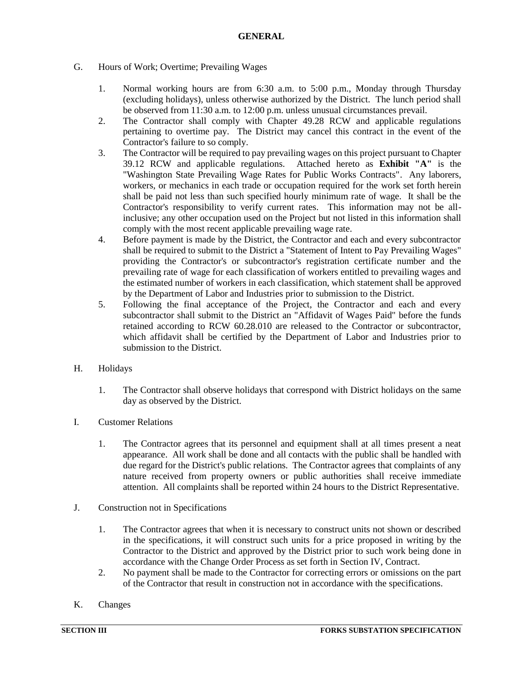### G. Hours of Work; Overtime; Prevailing Wages

- 1. Normal working hours are from 6:30 a.m. to 5:00 p.m., Monday through Thursday (excluding holidays), unless otherwise authorized by the District. The lunch period shall be observed from 11:30 a.m. to 12:00 p.m. unless unusual circumstances prevail.
- 2. The Contractor shall comply with Chapter 49.28 RCW and applicable regulations pertaining to overtime pay. The District may cancel this contract in the event of the Contractor's failure to so comply.
- 3. The Contractor will be required to pay prevailing wages on this project pursuant to Chapter 39.12 RCW and applicable regulations. Attached hereto as **Exhibit "A"** is the "Washington State Prevailing Wage Rates for Public Works Contracts". Any laborers, workers, or mechanics in each trade or occupation required for the work set forth herein shall be paid not less than such specified hourly minimum rate of wage. It shall be the Contractor's responsibility to verify current rates. This information may not be allinclusive; any other occupation used on the Project but not listed in this information shall comply with the most recent applicable prevailing wage rate.
- 4. Before payment is made by the District, the Contractor and each and every subcontractor shall be required to submit to the District a "Statement of Intent to Pay Prevailing Wages" providing the Contractor's or subcontractor's registration certificate number and the prevailing rate of wage for each classification of workers entitled to prevailing wages and the estimated number of workers in each classification, which statement shall be approved by the Department of Labor and Industries prior to submission to the District.
- 5. Following the final acceptance of the Project, the Contractor and each and every subcontractor shall submit to the District an "Affidavit of Wages Paid" before the funds retained according to RCW 60.28.010 are released to the Contractor or subcontractor, which affidavit shall be certified by the Department of Labor and Industries prior to submission to the District.
- H. Holidays
	- 1. The Contractor shall observe holidays that correspond with District holidays on the same day as observed by the District.
- I. Customer Relations
	- 1. The Contractor agrees that its personnel and equipment shall at all times present a neat appearance. All work shall be done and all contacts with the public shall be handled with due regard for the District's public relations. The Contractor agrees that complaints of any nature received from property owners or public authorities shall receive immediate attention. All complaints shall be reported within 24 hours to the District Representative.
- J. Construction not in Specifications
	- 1. The Contractor agrees that when it is necessary to construct units not shown or described in the specifications, it will construct such units for a price proposed in writing by the Contractor to the District and approved by the District prior to such work being done in accordance with the Change Order Process as set forth in Section IV, Contract.
	- 2. No payment shall be made to the Contractor for correcting errors or omissions on the part of the Contractor that result in construction not in accordance with the specifications.
- K. Changes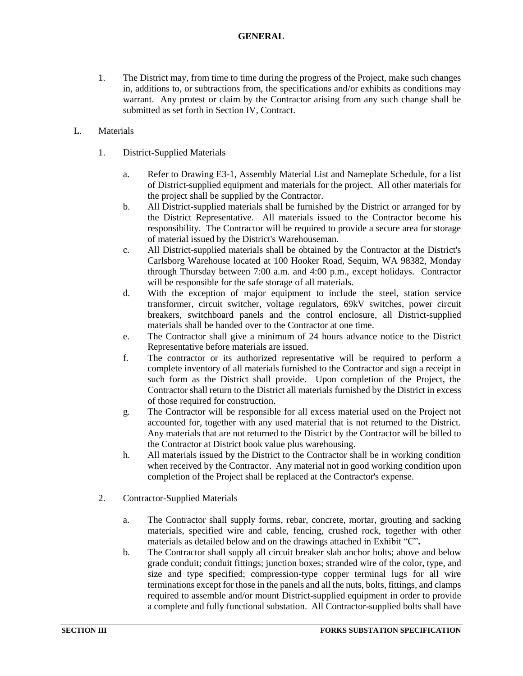- 1. The District may, from time to time during the progress of the Project, make such changes in, additions to, or subtractions from, the specifications and/or exhibits as conditions may warrant. Any protest or claim by the Contractor arising from any such change shall be submitted as set forth in Section IV, Contract.
- L. Materials
	- 1. District-Supplied Materials
		- a. Refer to Drawing E3-1, Assembly Material List and Nameplate Schedule, for a list of District-supplied equipment and materials for the project. All other materials for the project shall be supplied by the Contractor.
		- b. All District-supplied materials shall be furnished by the District or arranged for by the District Representative. All materials issued to the Contractor become his responsibility. The Contractor will be required to provide a secure area for storage of material issued by the District's Warehouseman.
		- c. All District-supplied materials shall be obtained by the Contractor at the District's Carlsborg Warehouse located at 100 Hooker Road, Sequim, WA 98382, Monday through Thursday between 7:00 a.m. and 4:00 p.m., except holidays. Contractor will be responsible for the safe storage of all materials.
		- d. With the exception of major equipment to include the steel, station service transformer, circuit switcher, voltage regulators, 69kV switches, power circuit breakers, switchboard panels and the control enclosure, all District-supplied materials shall be handed over to the Contractor at one time.
		- e. The Contractor shall give a minimum of 24 hours advance notice to the District Representative before materials are issued.
		- f. The contractor or its authorized representative will be required to perform a complete inventory of all materials furnished to the Contractor and sign a receipt in such form as the District shall provide. Upon completion of the Project, the Contractor shall return to the District all materials furnished by the District in excess of those required for construction.
		- g. The Contractor will be responsible for all excess material used on the Project not accounted for, together with any used material that is not returned to the District. Any materials that are not returned to the District by the Contractor will be billed to the Contractor at District book value plus warehousing.
		- h. All materials issued by the District to the Contractor shall be in working condition when received by the Contractor. Any material not in good working condition upon completion of the Project shall be replaced at the Contractor's expense.
	- 2. Contractor-Supplied Materials
		- a. The Contractor shall supply forms, rebar, concrete, mortar, grouting and sacking materials, specified wire and cable, fencing, crushed rock, together with other materials as detailed below and on the drawings attached in Exhibit "C"**.**
		- b. The Contractor shall supply all circuit breaker slab anchor bolts; above and below grade conduit; conduit fittings; junction boxes; stranded wire of the color, type, and size and type specified; compression-type copper terminal lugs for all wire terminations except for those in the panels and all the nuts, bolts, fittings, and clamps required to assemble and/or mount District-supplied equipment in order to provide a complete and fully functional substation. All Contractor-supplied bolts shall have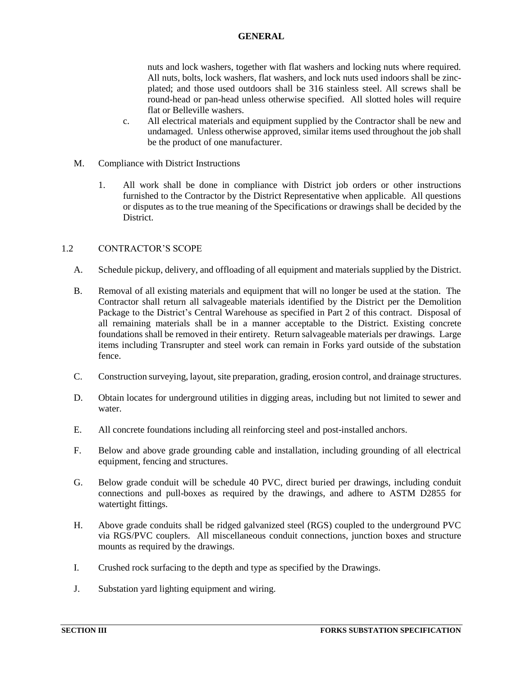nuts and lock washers, together with flat washers and locking nuts where required. All nuts, bolts, lock washers, flat washers, and lock nuts used indoors shall be zincplated; and those used outdoors shall be 316 stainless steel. All screws shall be round-head or pan-head unless otherwise specified. All slotted holes will require flat or Belleville washers.

- c. All electrical materials and equipment supplied by the Contractor shall be new and undamaged. Unless otherwise approved, similar items used throughout the job shall be the product of one manufacturer.
- M. Compliance with District Instructions
	- 1. All work shall be done in compliance with District job orders or other instructions furnished to the Contractor by the District Representative when applicable. All questions or disputes as to the true meaning of the Specifications or drawings shall be decided by the District.

# <span id="page-7-0"></span>1.2 CONTRACTOR'S SCOPE

- A. Schedule pickup, delivery, and offloading of all equipment and materials supplied by the District.
- B. Removal of all existing materials and equipment that will no longer be used at the station. The Contractor shall return all salvageable materials identified by the District per the Demolition Package to the District's Central Warehouse as specified in Part 2 of this contract. Disposal of all remaining materials shall be in a manner acceptable to the District. Existing concrete foundations shall be removed in their entirety. Return salvageable materials per drawings. Large items including Transrupter and steel work can remain in Forks yard outside of the substation fence.
- C. Construction surveying, layout, site preparation, grading, erosion control, and drainage structures.
- D. Obtain locates for underground utilities in digging areas, including but not limited to sewer and water.
- E. All concrete foundations including all reinforcing steel and post-installed anchors.
- F. Below and above grade grounding cable and installation, including grounding of all electrical equipment, fencing and structures.
- G. Below grade conduit will be schedule 40 PVC, direct buried per drawings, including conduit connections and pull-boxes as required by the drawings, and adhere to ASTM D2855 for watertight fittings.
- H. Above grade conduits shall be ridged galvanized steel (RGS) coupled to the underground PVC via RGS/PVC couplers. All miscellaneous conduit connections, junction boxes and structure mounts as required by the drawings.
- I. Crushed rock surfacing to the depth and type as specified by the Drawings.
- J. Substation yard lighting equipment and wiring.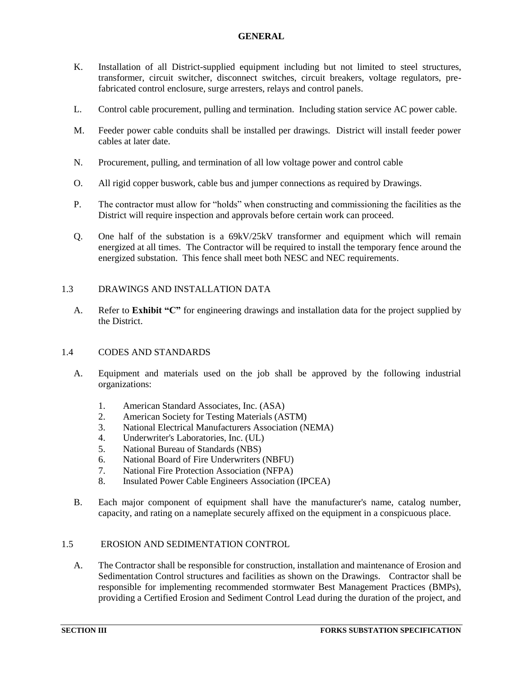- K. Installation of all District-supplied equipment including but not limited to steel structures, transformer, circuit switcher, disconnect switches, circuit breakers, voltage regulators, prefabricated control enclosure, surge arresters, relays and control panels.
- L. Control cable procurement, pulling and termination. Including station service AC power cable.
- M. Feeder power cable conduits shall be installed per drawings. District will install feeder power cables at later date.
- N. Procurement, pulling, and termination of all low voltage power and control cable
- O. All rigid copper buswork, cable bus and jumper connections as required by Drawings.
- P. The contractor must allow for "holds" when constructing and commissioning the facilities as the District will require inspection and approvals before certain work can proceed.
- Q. One half of the substation is a 69kV/25kV transformer and equipment which will remain energized at all times. The Contractor will be required to install the temporary fence around the energized substation. This fence shall meet both NESC and NEC requirements.

### <span id="page-8-0"></span>1.3 DRAWINGS AND INSTALLATION DATA

A. Refer to **Exhibit "C"** for engineering drawings and installation data for the project supplied by the District.

### <span id="page-8-1"></span>1.4 CODES AND STANDARDS

- A. Equipment and materials used on the job shall be approved by the following industrial organizations:
	- 1. American Standard Associates, Inc. (ASA)
	- 2. American Society for Testing Materials (ASTM)
	- 3. National Electrical Manufacturers Association (NEMA)
	- 4. Underwriter's Laboratories, Inc. (UL)
	- 5. National Bureau of Standards (NBS)
	- 6. National Board of Fire Underwriters (NBFU)
	- 7. National Fire Protection Association (NFPA)
	- 8. Insulated Power Cable Engineers Association (IPCEA)
- <span id="page-8-2"></span>B. Each major component of equipment shall have the manufacturer's name, catalog number, capacity, and rating on a nameplate securely affixed on the equipment in a conspicuous place.

### 1.5 EROSION AND SEDIMENTATION CONTROL

A. The Contractor shall be responsible for construction, installation and maintenance of Erosion and Sedimentation Control structures and facilities as shown on the Drawings. Contractor shall be responsible for implementing recommended stormwater Best Management Practices (BMPs), providing a Certified Erosion and Sediment Control Lead during the duration of the project, and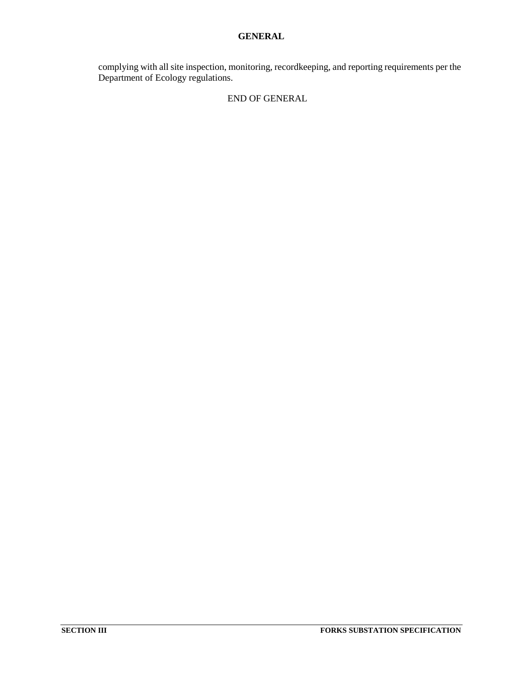complying with all site inspection, monitoring, recordkeeping, and reporting requirements per the Department of Ecology regulations.

### END OF GENERAL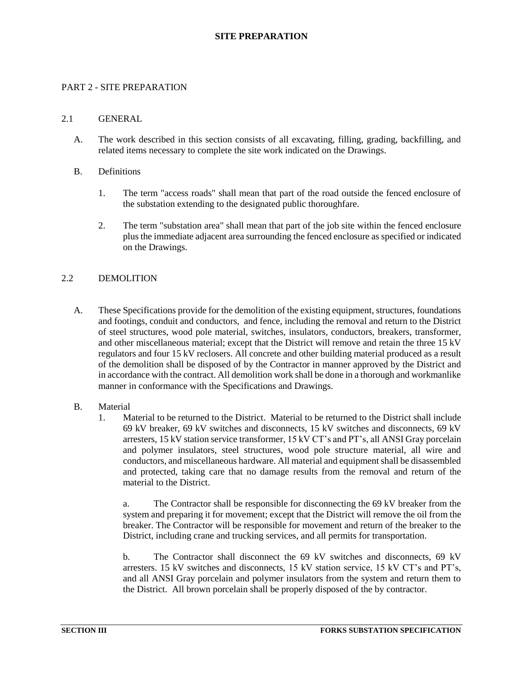### <span id="page-10-1"></span><span id="page-10-0"></span>PART 2 - SITE PREPARATION

#### 2.1 GENERAL

- A. The work described in this section consists of all excavating, filling, grading, backfilling, and related items necessary to complete the site work indicated on the Drawings.
- B. Definitions
	- 1. The term "access roads" shall mean that part of the road outside the fenced enclosure of the substation extending to the designated public thoroughfare.
	- 2. The term "substation area" shall mean that part of the job site within the fenced enclosure plus the immediate adjacent area surrounding the fenced enclosure as specified or indicated on the Drawings.

### <span id="page-10-2"></span>2.2 DEMOLITION

- A. These Specifications provide for the demolition of the existing equipment, structures, foundations and footings, conduit and conductors, and fence, including the removal and return to the District of steel structures, wood pole material, switches, insulators, conductors, breakers, transformer, and other miscellaneous material; except that the District will remove and retain the three 15 kV regulators and four 15 kV reclosers. All concrete and other building material produced as a result of the demolition shall be disposed of by the Contractor in manner approved by the District and in accordance with the contract. All demolition work shall be done in a thorough and workmanlike manner in conformance with the Specifications and Drawings.
- B. Material
	- 1. Material to be returned to the District. Material to be returned to the District shall include 69 kV breaker, 69 kV switches and disconnects, 15 kV switches and disconnects, 69 kV arresters, 15 kV station service transformer, 15 kV CT's and PT's, all ANSI Gray porcelain and polymer insulators, steel structures, wood pole structure material, all wire and conductors, and miscellaneous hardware. All material and equipment shall be disassembled and protected, taking care that no damage results from the removal and return of the material to the District.

a. The Contractor shall be responsible for disconnecting the 69 kV breaker from the system and preparing it for movement; except that the District will remove the oil from the breaker. The Contractor will be responsible for movement and return of the breaker to the District, including crane and trucking services, and all permits for transportation.

b. The Contractor shall disconnect the 69 kV switches and disconnects, 69 kV arresters. 15 kV switches and disconnects, 15 kV station service, 15 kV CT's and PT's, and all ANSI Gray porcelain and polymer insulators from the system and return them to the District. All brown porcelain shall be properly disposed of the by contractor.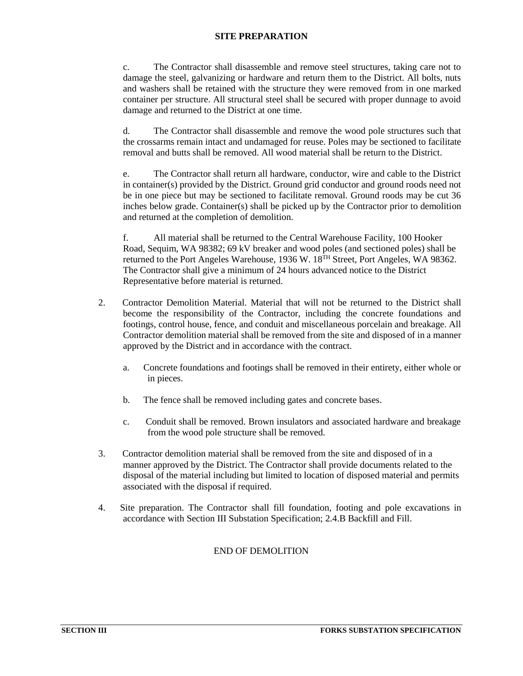c. The Contractor shall disassemble and remove steel structures, taking care not to damage the steel, galvanizing or hardware and return them to the District. All bolts, nuts and washers shall be retained with the structure they were removed from in one marked container per structure. All structural steel shall be secured with proper dunnage to avoid damage and returned to the District at one time.

d. The Contractor shall disassemble and remove the wood pole structures such that the crossarms remain intact and undamaged for reuse. Poles may be sectioned to facilitate removal and butts shall be removed. All wood material shall be return to the District.

e. The Contractor shall return all hardware, conductor, wire and cable to the District in container(s) provided by the District. Ground grid conductor and ground roods need not be in one piece but may be sectioned to facilitate removal. Ground roods may be cut 36 inches below grade. Container(s) shall be picked up by the Contractor prior to demolition and returned at the completion of demolition.

f. All material shall be returned to the Central Warehouse Facility, 100 Hooker Road, Sequim, WA 98382; 69 kV breaker and wood poles (and sectioned poles) shall be returned to the Port Angeles Warehouse, 1936 W. 18<sup>TH</sup> Street, Port Angeles, WA 98362. The Contractor shall give a minimum of 24 hours advanced notice to the District Representative before material is returned.

- 2. Contractor Demolition Material. Material that will not be returned to the District shall become the responsibility of the Contractor, including the concrete foundations and footings, control house, fence, and conduit and miscellaneous porcelain and breakage. All Contractor demolition material shall be removed from the site and disposed of in a manner approved by the District and in accordance with the contract.
	- a. Concrete foundations and footings shall be removed in their entirety, either whole or in pieces.
	- b. The fence shall be removed including gates and concrete bases.
	- c. Conduit shall be removed. Brown insulators and associated hardware and breakage from the wood pole structure shall be removed.
- 3. Contractor demolition material shall be removed from the site and disposed of in a manner approved by the District. The Contractor shall provide documents related to the disposal of the material including but limited to location of disposed material and permits associated with the disposal if required.
- 4. Site preparation. The Contractor shall fill foundation, footing and pole excavations in accordance with Section III Substation Specification; 2.4.B Backfill and Fill.

# END OF DEMOLITION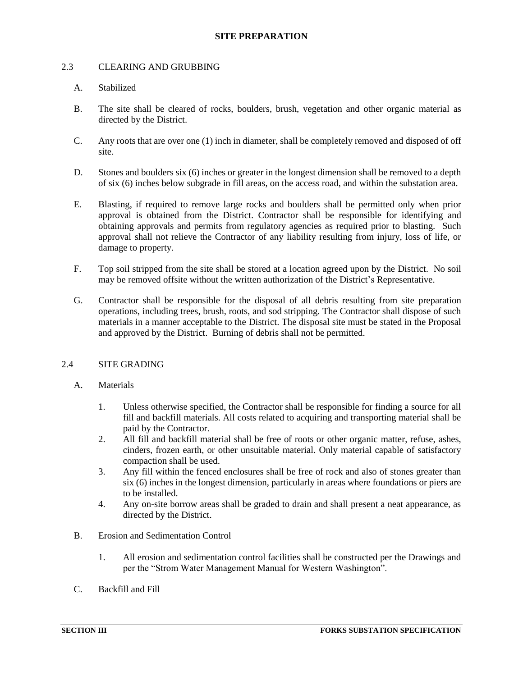### <span id="page-12-0"></span>2.3 CLEARING AND GRUBBING

### A. Stabilized

- B. The site shall be cleared of rocks, boulders, brush, vegetation and other organic material as directed by the District.
- C. Any roots that are over one (1) inch in diameter, shall be completely removed and disposed of off site.
- D. Stones and boulders six (6) inches or greater in the longest dimension shall be removed to a depth of six (6) inches below subgrade in fill areas, on the access road, and within the substation area.
- E. Blasting, if required to remove large rocks and boulders shall be permitted only when prior approval is obtained from the District. Contractor shall be responsible for identifying and obtaining approvals and permits from regulatory agencies as required prior to blasting. Such approval shall not relieve the Contractor of any liability resulting from injury, loss of life, or damage to property.
- F. Top soil stripped from the site shall be stored at a location agreed upon by the District. No soil may be removed offsite without the written authorization of the District's Representative.
- G. Contractor shall be responsible for the disposal of all debris resulting from site preparation operations, including trees, brush, roots, and sod stripping. The Contractor shall dispose of such materials in a manner acceptable to the District. The disposal site must be stated in the Proposal and approved by the District. Burning of debris shall not be permitted.

### <span id="page-12-1"></span>2.4 SITE GRADING

- A. Materials
	- 1. Unless otherwise specified, the Contractor shall be responsible for finding a source for all fill and backfill materials. All costs related to acquiring and transporting material shall be paid by the Contractor.
	- 2. All fill and backfill material shall be free of roots or other organic matter, refuse, ashes, cinders, frozen earth, or other unsuitable material. Only material capable of satisfactory compaction shall be used.
	- 3. Any fill within the fenced enclosures shall be free of rock and also of stones greater than six (6) inches in the longest dimension, particularly in areas where foundations or piers are to be installed.
	- 4. Any on-site borrow areas shall be graded to drain and shall present a neat appearance, as directed by the District.
- B. Erosion and Sedimentation Control
	- 1. All erosion and sedimentation control facilities shall be constructed per the Drawings and per the "Strom Water Management Manual for Western Washington".
- C. Backfill and Fill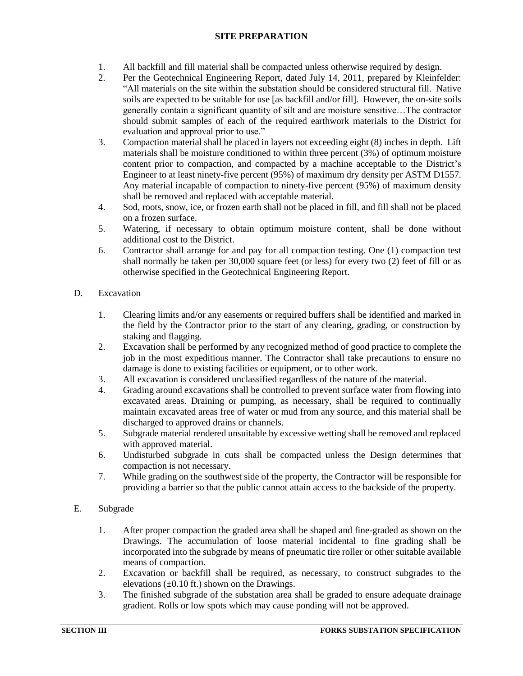- 1. All backfill and fill material shall be compacted unless otherwise required by design.
- 2. Per the Geotechnical Engineering Report, dated July 14, 2011, prepared by Kleinfelder: "All materials on the site within the substation should be considered structural fill. Native soils are expected to be suitable for use [as backfill and/or fill]. However, the on-site soils generally contain a significant quantity of silt and are moisture sensitive…The contractor should submit samples of each of the required earthwork materials to the District for evaluation and approval prior to use."
- 3. Compaction material shall be placed in layers not exceeding eight (8) inches in depth. Lift materials shall be moisture conditioned to within three percent (3%) of optimum moisture content prior to compaction, and compacted by a machine acceptable to the District's Engineer to at least ninety-five percent (95%) of maximum dry density per ASTM D1557. Any material incapable of compaction to ninety-five percent (95%) of maximum density shall be removed and replaced with acceptable material.
- 4. Sod, roots, snow, ice, or frozen earth shall not be placed in fill, and fill shall not be placed on a frozen surface.
- 5. Watering, if necessary to obtain optimum moisture content, shall be done without additional cost to the District.
- 6. Contractor shall arrange for and pay for all compaction testing. One (1) compaction test shall normally be taken per 30,000 square feet (or less) for every two (2) feet of fill or as otherwise specified in the Geotechnical Engineering Report.
- D. Excavation
	- 1. Clearing limits and/or any easements or required buffers shall be identified and marked in the field by the Contractor prior to the start of any clearing, grading, or construction by staking and flagging.
	- 2. Excavation shall be performed by any recognized method of good practice to complete the job in the most expeditious manner. The Contractor shall take precautions to ensure no damage is done to existing facilities or equipment, or to other work.
	- 3. All excavation is considered unclassified regardless of the nature of the material.
	- 4. Grading around excavations shall be controlled to prevent surface water from flowing into excavated areas. Draining or pumping, as necessary, shall be required to continually maintain excavated areas free of water or mud from any source, and this material shall be discharged to approved drains or channels.
	- 5. Subgrade material rendered unsuitable by excessive wetting shall be removed and replaced with approved material.
	- 6. Undisturbed subgrade in cuts shall be compacted unless the Design determines that compaction is not necessary.
	- 7. While grading on the southwest side of the property, the Contractor will be responsible for providing a barrier so that the public cannot attain access to the backside of the property.
- E. Subgrade
	- 1. After proper compaction the graded area shall be shaped and fine-graded as shown on the Drawings. The accumulation of loose material incidental to fine grading shall be incorporated into the subgrade by means of pneumatic tire roller or other suitable available means of compaction.
	- 2. Excavation or backfill shall be required, as necessary, to construct subgrades to the elevations  $(\pm 0.10 \text{ ft.})$  shown on the Drawings.
	- 3. The finished subgrade of the substation area shall be graded to ensure adequate drainage gradient. Rolls or low spots which may cause ponding will not be approved.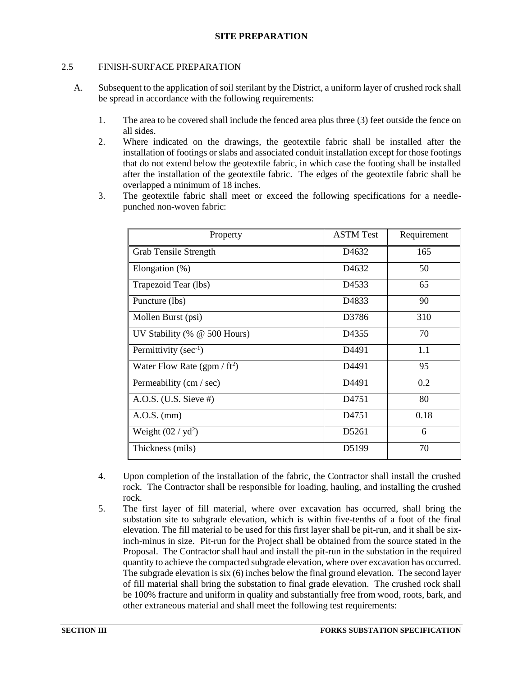# <span id="page-14-0"></span>2.5 FINISH-SURFACE PREPARATION

- A. Subsequent to the application of soil sterilant by the District, a uniform layer of crushed rock shall be spread in accordance with the following requirements:
	- 1. The area to be covered shall include the fenced area plus three (3) feet outside the fence on all sides.
	- 2. Where indicated on the drawings, the geotextile fabric shall be installed after the installation of footings or slabs and associated conduit installation except for those footings that do not extend below the geotextile fabric, in which case the footing shall be installed after the installation of the geotextile fabric. The edges of the geotextile fabric shall be overlapped a minimum of 18 inches.
	- 3. The geotextile fabric shall meet or exceed the following specifications for a needlepunched non-woven fabric:

| Property                               | <b>ASTM Test</b>   | Requirement |
|----------------------------------------|--------------------|-------------|
| <b>Grab Tensile Strength</b>           | D <sub>4632</sub>  | 165         |
| Elongation $(\%)$                      | D <sub>4632</sub>  | 50          |
| Trapezoid Tear (lbs)                   | D <sub>4533</sub>  | 65          |
| Puncture (lbs)                         | D <sub>4833</sub>  | 90          |
| Mollen Burst (psi)                     | D3786              | 310         |
| UV Stability (% @ 500 Hours)           | D <sub>4</sub> 355 | 70          |
| Permittivity ( $sec^{-1}$ )            | D4491              | 1.1         |
| Water Flow Rate (gpm / $\text{ft}^2$ ) | D4491              | 95          |
| Permeability (cm / sec)                | D4491              | 0.2         |
| A.O.S. (U.S. Sieve $#$ )               | D <sub>4751</sub>  | 80          |
| $A.O.S.$ (mm)                          | D <sub>4751</sub>  | 0.18        |
| Weight $(02 / yd^2)$                   | D <sub>5261</sub>  | 6           |
| Thickness (mils)                       | D5199              | 70          |

- 4. Upon completion of the installation of the fabric, the Contractor shall install the crushed rock. The Contractor shall be responsible for loading, hauling, and installing the crushed rock.
- 5. The first layer of fill material, where over excavation has occurred, shall bring the substation site to subgrade elevation, which is within five-tenths of a foot of the final elevation. The fill material to be used for this first layer shall be pit-run, and it shall be sixinch-minus in size. Pit-run for the Project shall be obtained from the source stated in the Proposal. The Contractor shall haul and install the pit-run in the substation in the required quantity to achieve the compacted subgrade elevation, where over excavation has occurred. The subgrade elevation is six (6) inches below the final ground elevation. The second layer of fill material shall bring the substation to final grade elevation. The crushed rock shall be 100% fracture and uniform in quality and substantially free from wood, roots, bark, and other extraneous material and shall meet the following test requirements: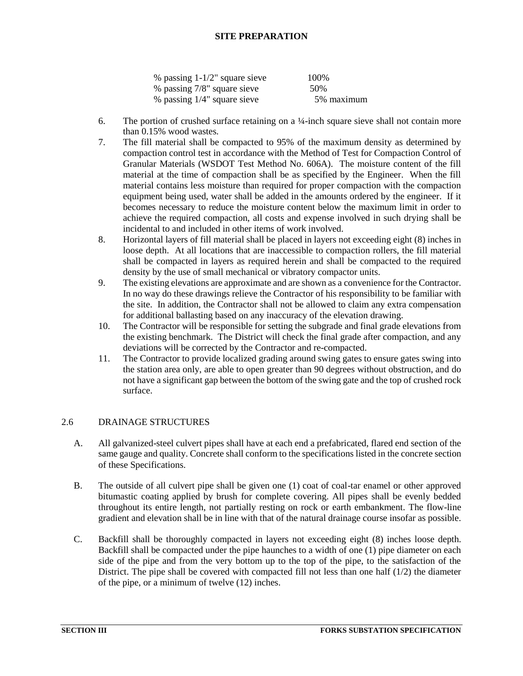| % passing $1-1/2$ " square sieve | 100\%      |
|----------------------------------|------------|
| % passing 7/8" square sieve      | 50\%       |
| % passing $1/4$ " square sieve   | 5% maximum |

- 6. The portion of crushed surface retaining on a  $\frac{1}{4}$ -inch square sieve shall not contain more than 0.15% wood wastes.
- 7. The fill material shall be compacted to 95% of the maximum density as determined by compaction control test in accordance with the Method of Test for Compaction Control of Granular Materials (WSDOT Test Method No. 606A). The moisture content of the fill material at the time of compaction shall be as specified by the Engineer. When the fill material contains less moisture than required for proper compaction with the compaction equipment being used, water shall be added in the amounts ordered by the engineer. If it becomes necessary to reduce the moisture content below the maximum limit in order to achieve the required compaction, all costs and expense involved in such drying shall be incidental to and included in other items of work involved.
- 8. Horizontal layers of fill material shall be placed in layers not exceeding eight (8) inches in loose depth. At all locations that are inaccessible to compaction rollers, the fill material shall be compacted in layers as required herein and shall be compacted to the required density by the use of small mechanical or vibratory compactor units.
- 9. The existing elevations are approximate and are shown as a convenience for the Contractor. In no way do these drawings relieve the Contractor of his responsibility to be familiar with the site. In addition, the Contractor shall not be allowed to claim any extra compensation for additional ballasting based on any inaccuracy of the elevation drawing.
- 10. The Contractor will be responsible for setting the subgrade and final grade elevations from the existing benchmark. The District will check the final grade after compaction, and any deviations will be corrected by the Contractor and re-compacted.
- 11. The Contractor to provide localized grading around swing gates to ensure gates swing into the station area only, are able to open greater than 90 degrees without obstruction, and do not have a significant gap between the bottom of the swing gate and the top of crushed rock surface.

# <span id="page-15-0"></span>2.6 DRAINAGE STRUCTURES

- A. All galvanized-steel culvert pipes shall have at each end a prefabricated, flared end section of the same gauge and quality. Concrete shall conform to the specifications listed in the concrete section of these Specifications.
- B. The outside of all culvert pipe shall be given one (1) coat of coal-tar enamel or other approved bitumastic coating applied by brush for complete covering. All pipes shall be evenly bedded throughout its entire length, not partially resting on rock or earth embankment. The flow-line gradient and elevation shall be in line with that of the natural drainage course insofar as possible.
- C. Backfill shall be thoroughly compacted in layers not exceeding eight (8) inches loose depth. Backfill shall be compacted under the pipe haunches to a width of one (1) pipe diameter on each side of the pipe and from the very bottom up to the top of the pipe, to the satisfaction of the District. The pipe shall be covered with compacted fill not less than one half  $(1/2)$  the diameter of the pipe, or a minimum of twelve (12) inches.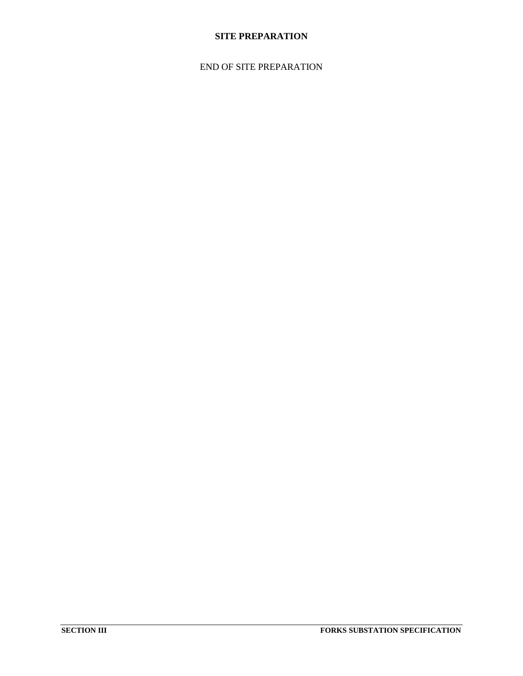# END OF SITE PREPARATION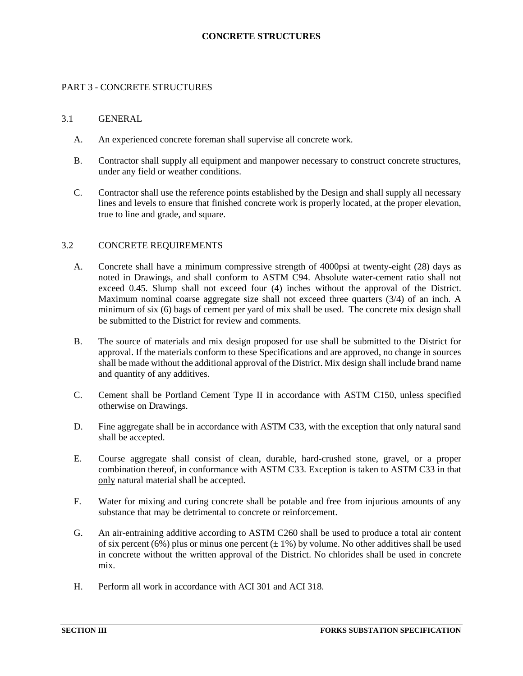### <span id="page-17-1"></span><span id="page-17-0"></span>PART 3 - CONCRETE STRUCTURES

#### 3.1 GENERAL

- A. An experienced concrete foreman shall supervise all concrete work.
- B. Contractor shall supply all equipment and manpower necessary to construct concrete structures, under any field or weather conditions.
- C. Contractor shall use the reference points established by the Design and shall supply all necessary lines and levels to ensure that finished concrete work is properly located, at the proper elevation, true to line and grade, and square.

#### <span id="page-17-2"></span>3.2 CONCRETE REQUIREMENTS

- A. Concrete shall have a minimum compressive strength of 4000psi at twenty-eight (28) days as noted in Drawings, and shall conform to ASTM C94. Absolute water-cement ratio shall not exceed 0.45. Slump shall not exceed four (4) inches without the approval of the District. Maximum nominal coarse aggregate size shall not exceed three quarters (3/4) of an inch. A minimum of six (6) bags of cement per yard of mix shall be used. The concrete mix design shall be submitted to the District for review and comments.
- B. The source of materials and mix design proposed for use shall be submitted to the District for approval. If the materials conform to these Specifications and are approved, no change in sources shall be made without the additional approval of the District. Mix design shall include brand name and quantity of any additives.
- C. Cement shall be Portland Cement Type II in accordance with ASTM C150, unless specified otherwise on Drawings.
- D. Fine aggregate shall be in accordance with ASTM C33, with the exception that only natural sand shall be accepted.
- E. Course aggregate shall consist of clean, durable, hard-crushed stone, gravel, or a proper combination thereof, in conformance with ASTM C33. Exception is taken to ASTM C33 in that only natural material shall be accepted.
- F. Water for mixing and curing concrete shall be potable and free from injurious amounts of any substance that may be detrimental to concrete or reinforcement.
- G. An air-entraining additive according to ASTM C260 shall be used to produce a total air content of six percent (6%) plus or minus one percent ( $\pm$  1%) by volume. No other additives shall be used in concrete without the written approval of the District. No chlorides shall be used in concrete mix.
- H. Perform all work in accordance with ACI 301 and ACI 318.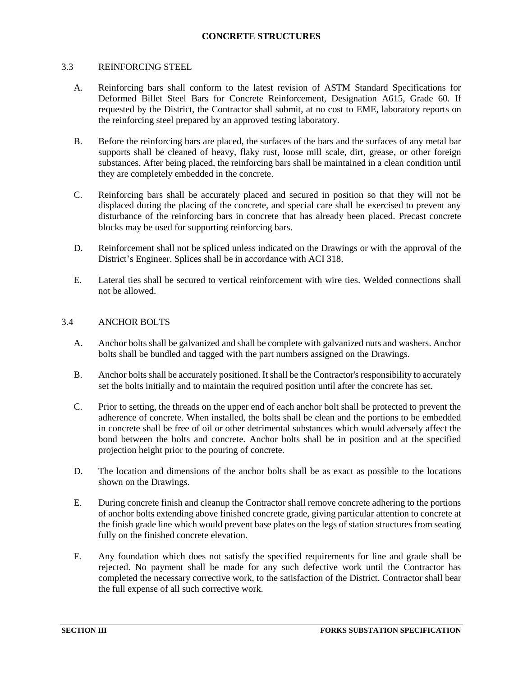#### <span id="page-18-0"></span>3.3 REINFORCING STEEL

- A. Reinforcing bars shall conform to the latest revision of ASTM Standard Specifications for Deformed Billet Steel Bars for Concrete Reinforcement, Designation A615, Grade 60. If requested by the District, the Contractor shall submit, at no cost to EME, laboratory reports on the reinforcing steel prepared by an approved testing laboratory.
- B. Before the reinforcing bars are placed, the surfaces of the bars and the surfaces of any metal bar supports shall be cleaned of heavy, flaky rust, loose mill scale, dirt, grease, or other foreign substances. After being placed, the reinforcing bars shall be maintained in a clean condition until they are completely embedded in the concrete.
- C. Reinforcing bars shall be accurately placed and secured in position so that they will not be displaced during the placing of the concrete, and special care shall be exercised to prevent any disturbance of the reinforcing bars in concrete that has already been placed. Precast concrete blocks may be used for supporting reinforcing bars.
- D. Reinforcement shall not be spliced unless indicated on the Drawings or with the approval of the District's Engineer. Splices shall be in accordance with ACI 318.
- E. Lateral ties shall be secured to vertical reinforcement with wire ties. Welded connections shall not be allowed.

### <span id="page-18-1"></span>3.4 ANCHOR BOLTS

- A. Anchor bolts shall be galvanized and shall be complete with galvanized nuts and washers. Anchor bolts shall be bundled and tagged with the part numbers assigned on the Drawings.
- B. Anchor bolts shall be accurately positioned. It shall be the Contractor's responsibility to accurately set the bolts initially and to maintain the required position until after the concrete has set.
- C. Prior to setting, the threads on the upper end of each anchor bolt shall be protected to prevent the adherence of concrete. When installed, the bolts shall be clean and the portions to be embedded in concrete shall be free of oil or other detrimental substances which would adversely affect the bond between the bolts and concrete. Anchor bolts shall be in position and at the specified projection height prior to the pouring of concrete.
- D. The location and dimensions of the anchor bolts shall be as exact as possible to the locations shown on the Drawings.
- E. During concrete finish and cleanup the Contractor shall remove concrete adhering to the portions of anchor bolts extending above finished concrete grade, giving particular attention to concrete at the finish grade line which would prevent base plates on the legs of station structures from seating fully on the finished concrete elevation.
- F. Any foundation which does not satisfy the specified requirements for line and grade shall be rejected. No payment shall be made for any such defective work until the Contractor has completed the necessary corrective work, to the satisfaction of the District. Contractor shall bear the full expense of all such corrective work.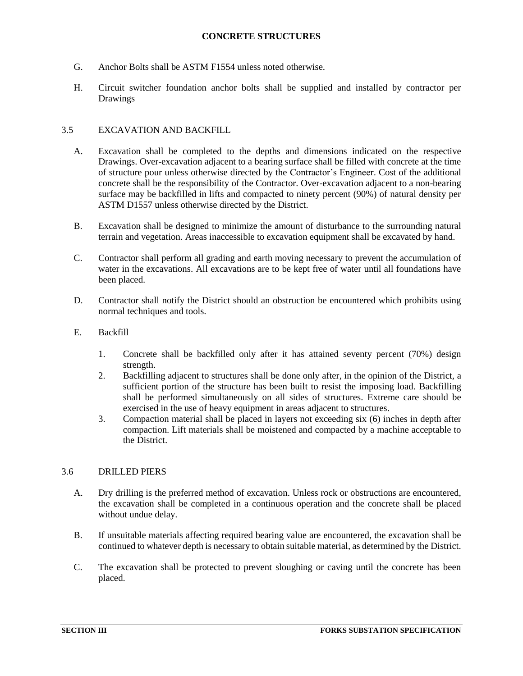- G. Anchor Bolts shall be ASTM F1554 unless noted otherwise.
- H. Circuit switcher foundation anchor bolts shall be supplied and installed by contractor per Drawings

# <span id="page-19-0"></span>3.5 EXCAVATION AND BACKFILL

- A. Excavation shall be completed to the depths and dimensions indicated on the respective Drawings. Over-excavation adjacent to a bearing surface shall be filled with concrete at the time of structure pour unless otherwise directed by the Contractor's Engineer. Cost of the additional concrete shall be the responsibility of the Contractor. Over-excavation adjacent to a non-bearing surface may be backfilled in lifts and compacted to ninety percent (90%) of natural density per ASTM D1557 unless otherwise directed by the District.
- B. Excavation shall be designed to minimize the amount of disturbance to the surrounding natural terrain and vegetation. Areas inaccessible to excavation equipment shall be excavated by hand.
- C. Contractor shall perform all grading and earth moving necessary to prevent the accumulation of water in the excavations. All excavations are to be kept free of water until all foundations have been placed.
- D. Contractor shall notify the District should an obstruction be encountered which prohibits using normal techniques and tools.
- E. Backfill
	- 1. Concrete shall be backfilled only after it has attained seventy percent (70%) design strength.
	- 2. Backfilling adjacent to structures shall be done only after, in the opinion of the District, a sufficient portion of the structure has been built to resist the imposing load. Backfilling shall be performed simultaneously on all sides of structures. Extreme care should be exercised in the use of heavy equipment in areas adjacent to structures.
	- 3. Compaction material shall be placed in layers not exceeding six (6) inches in depth after compaction. Lift materials shall be moistened and compacted by a machine acceptable to the District.

### <span id="page-19-1"></span>3.6 DRILLED PIERS

- A. Dry drilling is the preferred method of excavation. Unless rock or obstructions are encountered, the excavation shall be completed in a continuous operation and the concrete shall be placed without undue delay.
- B. If unsuitable materials affecting required bearing value are encountered, the excavation shall be continued to whatever depth is necessary to obtain suitable material, as determined by the District.
- C. The excavation shall be protected to prevent sloughing or caving until the concrete has been placed.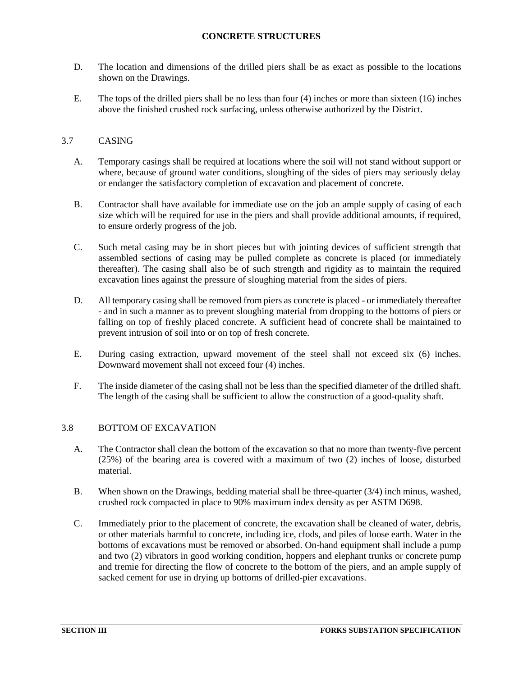- D. The location and dimensions of the drilled piers shall be as exact as possible to the locations shown on the Drawings.
- E. The tops of the drilled piers shall be no less than four (4) inches or more than sixteen (16) inches above the finished crushed rock surfacing, unless otherwise authorized by the District.

# <span id="page-20-0"></span>3.7 CASING

- A. Temporary casings shall be required at locations where the soil will not stand without support or where, because of ground water conditions, sloughing of the sides of piers may seriously delay or endanger the satisfactory completion of excavation and placement of concrete.
- B. Contractor shall have available for immediate use on the job an ample supply of casing of each size which will be required for use in the piers and shall provide additional amounts, if required, to ensure orderly progress of the job.
- C. Such metal casing may be in short pieces but with jointing devices of sufficient strength that assembled sections of casing may be pulled complete as concrete is placed (or immediately thereafter). The casing shall also be of such strength and rigidity as to maintain the required excavation lines against the pressure of sloughing material from the sides of piers.
- D. All temporary casing shall be removed from piers as concrete is placed or immediately thereafter - and in such a manner as to prevent sloughing material from dropping to the bottoms of piers or falling on top of freshly placed concrete. A sufficient head of concrete shall be maintained to prevent intrusion of soil into or on top of fresh concrete.
- E. During casing extraction, upward movement of the steel shall not exceed six (6) inches. Downward movement shall not exceed four (4) inches.
- F. The inside diameter of the casing shall not be less than the specified diameter of the drilled shaft. The length of the casing shall be sufficient to allow the construction of a good-quality shaft.

# <span id="page-20-1"></span>3.8 BOTTOM OF EXCAVATION

- A. The Contractor shall clean the bottom of the excavation so that no more than twenty-five percent (25%) of the bearing area is covered with a maximum of two (2) inches of loose, disturbed material.
- B. When shown on the Drawings, bedding material shall be three-quarter (3/4) inch minus, washed, crushed rock compacted in place to 90% maximum index density as per ASTM D698.
- C. Immediately prior to the placement of concrete, the excavation shall be cleaned of water, debris, or other materials harmful to concrete, including ice, clods, and piles of loose earth. Water in the bottoms of excavations must be removed or absorbed. On-hand equipment shall include a pump and two (2) vibrators in good working condition, hoppers and elephant trunks or concrete pump and tremie for directing the flow of concrete to the bottom of the piers, and an ample supply of sacked cement for use in drying up bottoms of drilled-pier excavations.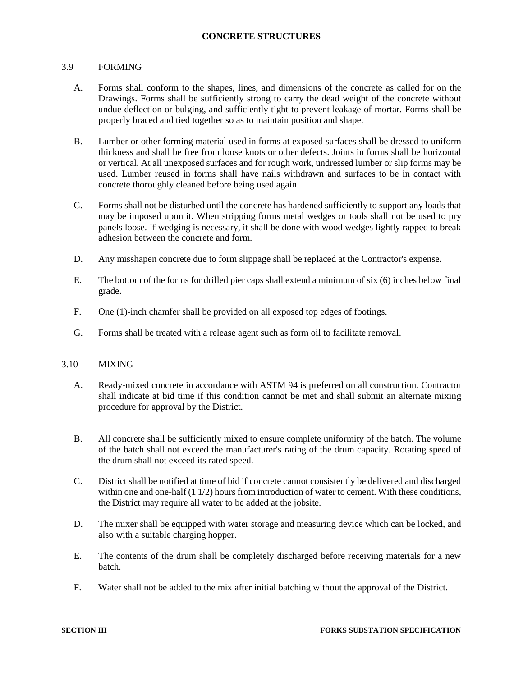### <span id="page-21-0"></span>3.9 FORMING

- A. Forms shall conform to the shapes, lines, and dimensions of the concrete as called for on the Drawings. Forms shall be sufficiently strong to carry the dead weight of the concrete without undue deflection or bulging, and sufficiently tight to prevent leakage of mortar. Forms shall be properly braced and tied together so as to maintain position and shape.
- B. Lumber or other forming material used in forms at exposed surfaces shall be dressed to uniform thickness and shall be free from loose knots or other defects. Joints in forms shall be horizontal or vertical. At all unexposed surfaces and for rough work, undressed lumber or slip forms may be used. Lumber reused in forms shall have nails withdrawn and surfaces to be in contact with concrete thoroughly cleaned before being used again.
- C. Forms shall not be disturbed until the concrete has hardened sufficiently to support any loads that may be imposed upon it. When stripping forms metal wedges or tools shall not be used to pry panels loose. If wedging is necessary, it shall be done with wood wedges lightly rapped to break adhesion between the concrete and form.
- D. Any misshapen concrete due to form slippage shall be replaced at the Contractor's expense.
- E. The bottom of the forms for drilled pier caps shall extend a minimum of six (6) inches below final grade.
- F. One (1)-inch chamfer shall be provided on all exposed top edges of footings.
- <span id="page-21-1"></span>G. Forms shall be treated with a release agent such as form oil to facilitate removal.

# 3.10 MIXING

- A. Ready-mixed concrete in accordance with ASTM 94 is preferred on all construction. Contractor shall indicate at bid time if this condition cannot be met and shall submit an alternate mixing procedure for approval by the District.
- B. All concrete shall be sufficiently mixed to ensure complete uniformity of the batch. The volume of the batch shall not exceed the manufacturer's rating of the drum capacity. Rotating speed of the drum shall not exceed its rated speed.
- C. District shall be notified at time of bid if concrete cannot consistently be delivered and discharged within one and one-half (1 1/2) hours from introduction of water to cement. With these conditions, the District may require all water to be added at the jobsite.
- D. The mixer shall be equipped with water storage and measuring device which can be locked, and also with a suitable charging hopper.
- E. The contents of the drum shall be completely discharged before receiving materials for a new batch.
- F. Water shall not be added to the mix after initial batching without the approval of the District.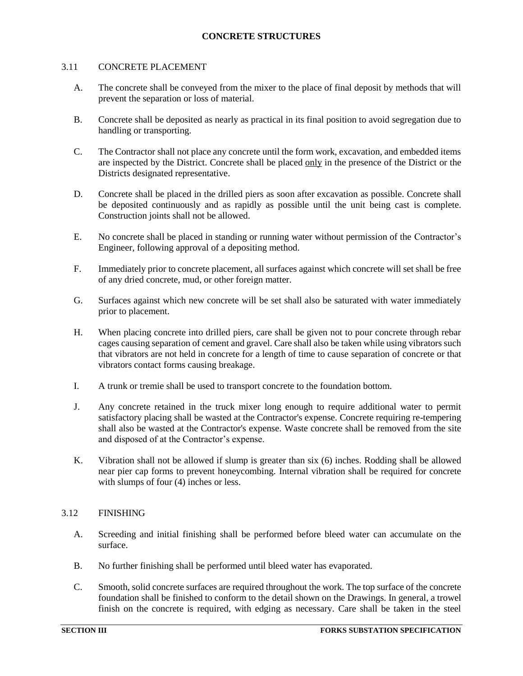### <span id="page-22-0"></span>3.11 CONCRETE PLACEMENT

- A. The concrete shall be conveyed from the mixer to the place of final deposit by methods that will prevent the separation or loss of material.
- B. Concrete shall be deposited as nearly as practical in its final position to avoid segregation due to handling or transporting.
- C. The Contractor shall not place any concrete until the form work, excavation, and embedded items are inspected by the District. Concrete shall be placed only in the presence of the District or the Districts designated representative.
- D. Concrete shall be placed in the drilled piers as soon after excavation as possible. Concrete shall be deposited continuously and as rapidly as possible until the unit being cast is complete. Construction joints shall not be allowed.
- E. No concrete shall be placed in standing or running water without permission of the Contractor's Engineer, following approval of a depositing method.
- F. Immediately prior to concrete placement, all surfaces against which concrete will set shall be free of any dried concrete, mud, or other foreign matter.
- G. Surfaces against which new concrete will be set shall also be saturated with water immediately prior to placement.
- H. When placing concrete into drilled piers, care shall be given not to pour concrete through rebar cages causing separation of cement and gravel. Care shall also be taken while using vibrators such that vibrators are not held in concrete for a length of time to cause separation of concrete or that vibrators contact forms causing breakage.
- I. A trunk or tremie shall be used to transport concrete to the foundation bottom.
- J. Any concrete retained in the truck mixer long enough to require additional water to permit satisfactory placing shall be wasted at the Contractor's expense. Concrete requiring re-tempering shall also be wasted at the Contractor's expense. Waste concrete shall be removed from the site and disposed of at the Contractor's expense.
- K. Vibration shall not be allowed if slump is greater than six (6) inches. Rodding shall be allowed near pier cap forms to prevent honeycombing. Internal vibration shall be required for concrete with slumps of four (4) inches or less.

### <span id="page-22-1"></span>3.12 FINISHING

- A. Screeding and initial finishing shall be performed before bleed water can accumulate on the surface.
- B. No further finishing shall be performed until bleed water has evaporated.
- C. Smooth, solid concrete surfaces are required throughout the work. The top surface of the concrete foundation shall be finished to conform to the detail shown on the Drawings. In general, a trowel finish on the concrete is required, with edging as necessary. Care shall be taken in the steel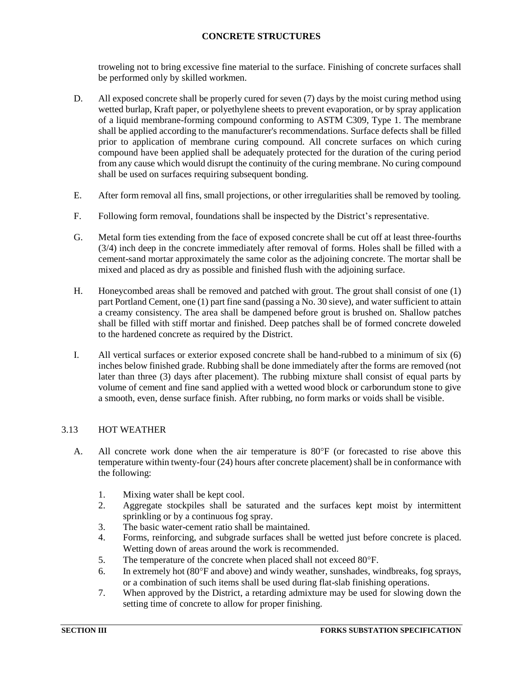troweling not to bring excessive fine material to the surface. Finishing of concrete surfaces shall be performed only by skilled workmen.

- D. All exposed concrete shall be properly cured for seven (7) days by the moist curing method using wetted burlap, Kraft paper, or polyethylene sheets to prevent evaporation, or by spray application of a liquid membrane-forming compound conforming to ASTM C309, Type 1. The membrane shall be applied according to the manufacturer's recommendations. Surface defects shall be filled prior to application of membrane curing compound. All concrete surfaces on which curing compound have been applied shall be adequately protected for the duration of the curing period from any cause which would disrupt the continuity of the curing membrane. No curing compound shall be used on surfaces requiring subsequent bonding.
- E. After form removal all fins, small projections, or other irregularities shall be removed by tooling.
- F. Following form removal, foundations shall be inspected by the District's representative.
- G. Metal form ties extending from the face of exposed concrete shall be cut off at least three-fourths (3/4) inch deep in the concrete immediately after removal of forms. Holes shall be filled with a cement-sand mortar approximately the same color as the adjoining concrete. The mortar shall be mixed and placed as dry as possible and finished flush with the adjoining surface.
- H. Honeycombed areas shall be removed and patched with grout. The grout shall consist of one (1) part Portland Cement, one (1) part fine sand (passing a No. 30 sieve), and water sufficient to attain a creamy consistency. The area shall be dampened before grout is brushed on. Shallow patches shall be filled with stiff mortar and finished. Deep patches shall be of formed concrete doweled to the hardened concrete as required by the District.
- I. All vertical surfaces or exterior exposed concrete shall be hand-rubbed to a minimum of six (6) inches below finished grade. Rubbing shall be done immediately after the forms are removed (not later than three (3) days after placement). The rubbing mixture shall consist of equal parts by volume of cement and fine sand applied with a wetted wood block or carborundum stone to give a smooth, even, dense surface finish. After rubbing, no form marks or voids shall be visible.

# <span id="page-23-0"></span>3.13 HOT WEATHER

- A. All concrete work done when the air temperature is  $80^{\circ}$ F (or forecasted to rise above this temperature within twenty-four (24) hours after concrete placement) shall be in conformance with the following:
	- 1. Mixing water shall be kept cool.
	- 2. Aggregate stockpiles shall be saturated and the surfaces kept moist by intermittent sprinkling or by a continuous fog spray.
	- 3. The basic water-cement ratio shall be maintained.
	- 4. Forms, reinforcing, and subgrade surfaces shall be wetted just before concrete is placed. Wetting down of areas around the work is recommended.
	- 5. The temperature of the concrete when placed shall not exceed 80°F.
	- 6. In extremely hot  $(80^{\circ}$ F and above) and windy weather, sunshades, windbreaks, fog sprays, or a combination of such items shall be used during flat-slab finishing operations.
	- 7. When approved by the District, a retarding admixture may be used for slowing down the setting time of concrete to allow for proper finishing.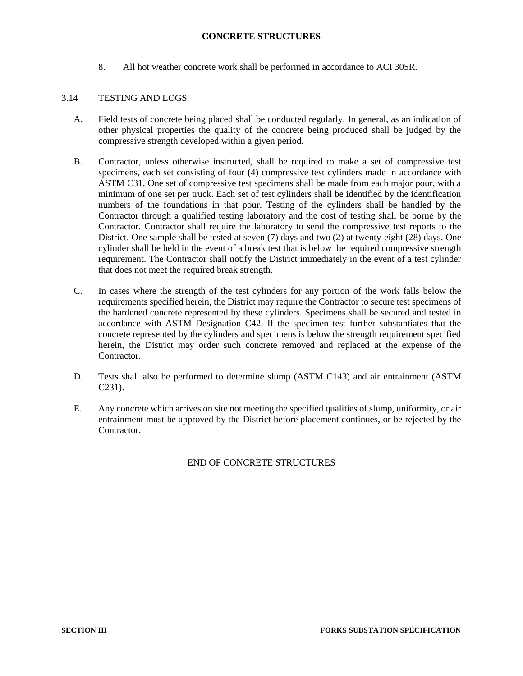8. All hot weather concrete work shall be performed in accordance to ACI 305R.

# <span id="page-24-0"></span>3.14 TESTING AND LOGS

- A. Field tests of concrete being placed shall be conducted regularly. In general, as an indication of other physical properties the quality of the concrete being produced shall be judged by the compressive strength developed within a given period.
- B. Contractor, unless otherwise instructed, shall be required to make a set of compressive test specimens, each set consisting of four (4) compressive test cylinders made in accordance with ASTM C31. One set of compressive test specimens shall be made from each major pour, with a minimum of one set per truck. Each set of test cylinders shall be identified by the identification numbers of the foundations in that pour. Testing of the cylinders shall be handled by the Contractor through a qualified testing laboratory and the cost of testing shall be borne by the Contractor. Contractor shall require the laboratory to send the compressive test reports to the District. One sample shall be tested at seven (7) days and two (2) at twenty-eight (28) days. One cylinder shall be held in the event of a break test that is below the required compressive strength requirement. The Contractor shall notify the District immediately in the event of a test cylinder that does not meet the required break strength.
- C. In cases where the strength of the test cylinders for any portion of the work falls below the requirements specified herein, the District may require the Contractor to secure test specimens of the hardened concrete represented by these cylinders. Specimens shall be secured and tested in accordance with ASTM Designation C42. If the specimen test further substantiates that the concrete represented by the cylinders and specimens is below the strength requirement specified herein, the District may order such concrete removed and replaced at the expense of the Contractor.
- D. Tests shall also be performed to determine slump (ASTM C143) and air entrainment (ASTM C231).
- E. Any concrete which arrives on site not meeting the specified qualities of slump, uniformity, or air entrainment must be approved by the District before placement continues, or be rejected by the Contractor.

# END OF CONCRETE STRUCTURES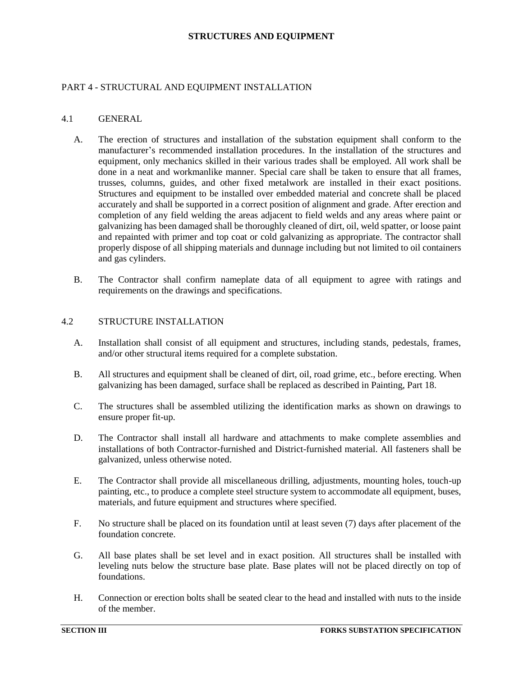### **STRUCTURES AND EQUIPMENT**

### <span id="page-25-1"></span><span id="page-25-0"></span>PART 4 - STRUCTURAL AND EQUIPMENT INSTALLATION

#### 4.1 GENERAL

- A. The erection of structures and installation of the substation equipment shall conform to the manufacturer's recommended installation procedures. In the installation of the structures and equipment, only mechanics skilled in their various trades shall be employed. All work shall be done in a neat and workmanlike manner. Special care shall be taken to ensure that all frames, trusses, columns, guides, and other fixed metalwork are installed in their exact positions. Structures and equipment to be installed over embedded material and concrete shall be placed accurately and shall be supported in a correct position of alignment and grade. After erection and completion of any field welding the areas adjacent to field welds and any areas where paint or galvanizing has been damaged shall be thoroughly cleaned of dirt, oil, weld spatter, or loose paint and repainted with primer and top coat or cold galvanizing as appropriate. The contractor shall properly dispose of all shipping materials and dunnage including but not limited to oil containers and gas cylinders.
- B. The Contractor shall confirm nameplate data of all equipment to agree with ratings and requirements on the drawings and specifications.

#### <span id="page-25-2"></span>4.2 STRUCTURE INSTALLATION

- A. Installation shall consist of all equipment and structures, including stands, pedestals, frames, and/or other structural items required for a complete substation.
- B. All structures and equipment shall be cleaned of dirt, oil, road grime, etc., before erecting. When galvanizing has been damaged, surface shall be replaced as described in Painting, Part 18.
- C. The structures shall be assembled utilizing the identification marks as shown on drawings to ensure proper fit-up.
- D. The Contractor shall install all hardware and attachments to make complete assemblies and installations of both Contractor-furnished and District-furnished material. All fasteners shall be galvanized, unless otherwise noted.
- E. The Contractor shall provide all miscellaneous drilling, adjustments, mounting holes, touch-up painting, etc., to produce a complete steel structure system to accommodate all equipment, buses, materials, and future equipment and structures where specified.
- F. No structure shall be placed on its foundation until at least seven (7) days after placement of the foundation concrete.
- G. All base plates shall be set level and in exact position. All structures shall be installed with leveling nuts below the structure base plate. Base plates will not be placed directly on top of foundations.
- H. Connection or erection bolts shall be seated clear to the head and installed with nuts to the inside of the member.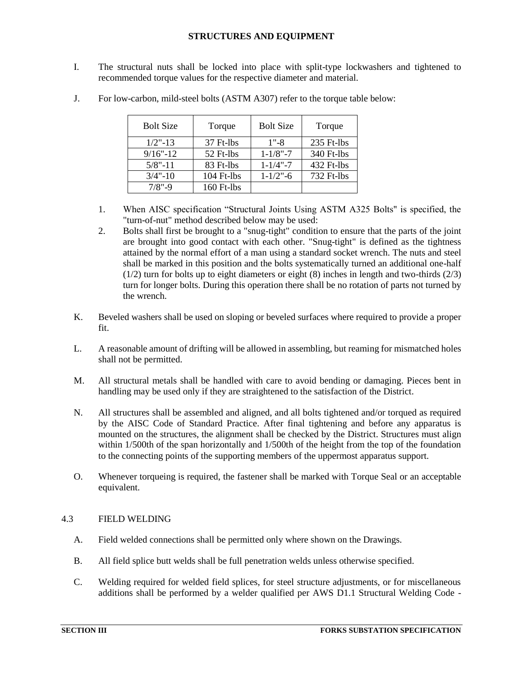### **STRUCTURES AND EQUIPMENT**

I. The structural nuts shall be locked into place with split-type lockwashers and tightened to recommended torque values for the respective diameter and material.

| <b>Bolt Size</b> | Torque       | <b>Bolt Size</b> | Torque     |
|------------------|--------------|------------------|------------|
| $1/2$ "-13       | 37 Ft-lbs    | $1" - 8$         | 235 Ft-lbs |
| $9/16" - 12$     | 52 Ft-lbs    | $1 - 1/8" - 7$   | 340 Ft-lbs |
| $5/8$ "-11       | 83 Ft-lbs    | $1 - 1/4$ " $-7$ | 432 Ft-lbs |
| $3/4$ "-10       | 104 Ft-lbs   | $1 - 1/2" - 6$   | 732 Ft-lbs |
| $7/8$ "-9        | $160$ Ft-lbs |                  |            |

J. For low-carbon, mild-steel bolts (ASTM A307) refer to the torque table below:

- 1. When AISC specification "Structural Joints Using ASTM A325 Bolts" is specified, the "turn-of-nut" method described below may be used:
- 2. Bolts shall first be brought to a "snug-tight" condition to ensure that the parts of the joint are brought into good contact with each other. "Snug-tight" is defined as the tightness attained by the normal effort of a man using a standard socket wrench. The nuts and steel shall be marked in this position and the bolts systematically turned an additional one-half  $(1/2)$  turn for bolts up to eight diameters or eight (8) inches in length and two-thirds  $(2/3)$ turn for longer bolts. During this operation there shall be no rotation of parts not turned by the wrench.
- K. Beveled washers shall be used on sloping or beveled surfaces where required to provide a proper fit.
- L. A reasonable amount of drifting will be allowed in assembling, but reaming for mismatched holes shall not be permitted.
- M. All structural metals shall be handled with care to avoid bending or damaging. Pieces bent in handling may be used only if they are straightened to the satisfaction of the District.
- N. All structures shall be assembled and aligned, and all bolts tightened and/or torqued as required by the AISC Code of Standard Practice. After final tightening and before any apparatus is mounted on the structures, the alignment shall be checked by the District. Structures must align within 1/500th of the span horizontally and 1/500th of the height from the top of the foundation to the connecting points of the supporting members of the uppermost apparatus support.
- O. Whenever torqueing is required, the fastener shall be marked with Torque Seal or an acceptable equivalent.

### <span id="page-26-0"></span>4.3 FIELD WELDING

- A. Field welded connections shall be permitted only where shown on the Drawings.
- B. All field splice butt welds shall be full penetration welds unless otherwise specified.
- C. Welding required for welded field splices, for steel structure adjustments, or for miscellaneous additions shall be performed by a welder qualified per AWS D1.1 Structural Welding Code -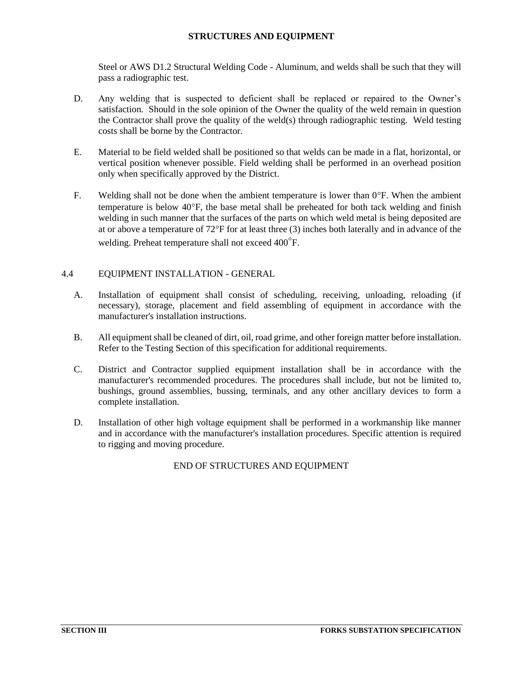### **STRUCTURES AND EQUIPMENT**

Steel or AWS D1.2 Structural Welding Code - Aluminum, and welds shall be such that they will pass a radiographic test.

- D. Any welding that is suspected to deficient shall be replaced or repaired to the Owner's satisfaction. Should in the sole opinion of the Owner the quality of the weld remain in question the Contractor shall prove the quality of the weld(s) through radiographic testing. Weld testing costs shall be borne by the Contractor.
- E. Material to be field welded shall be positioned so that welds can be made in a flat, horizontal, or vertical position whenever possible. Field welding shall be performed in an overhead position only when specifically approved by the District.
- F. Welding shall not be done when the ambient temperature is lower than  $0^{\circ}$ F. When the ambient temperature is below  $40^{\circ}$ F, the base metal shall be preheated for both tack welding and finish welding in such manner that the surfaces of the parts on which weld metal is being deposited are at or above a temperature of 72F for at least three (3) inches both laterally and in advance of the welding. Preheat temperature shall not exceed 400<sup>°</sup>F.

### <span id="page-27-0"></span>4.4 EQUIPMENT INSTALLATION - GENERAL

- A. Installation of equipment shall consist of scheduling, receiving, unloading, reloading (if necessary), storage, placement and field assembling of equipment in accordance with the manufacturer's installation instructions.
- B. All equipment shall be cleaned of dirt, oil, road grime, and other foreign matter before installation. Refer to the Testing Section of this specification for additional requirements.
- C. District and Contractor supplied equipment installation shall be in accordance with the manufacturer's recommended procedures. The procedures shall include, but not be limited to, bushings, ground assemblies, bussing, terminals, and any other ancillary devices to form a complete installation.
- D. Installation of other high voltage equipment shall be performed in a workmanship like manner and in accordance with the manufacturer's installation procedures. Specific attention is required to rigging and moving procedure.

END OF STRUCTURES AND EQUIPMENT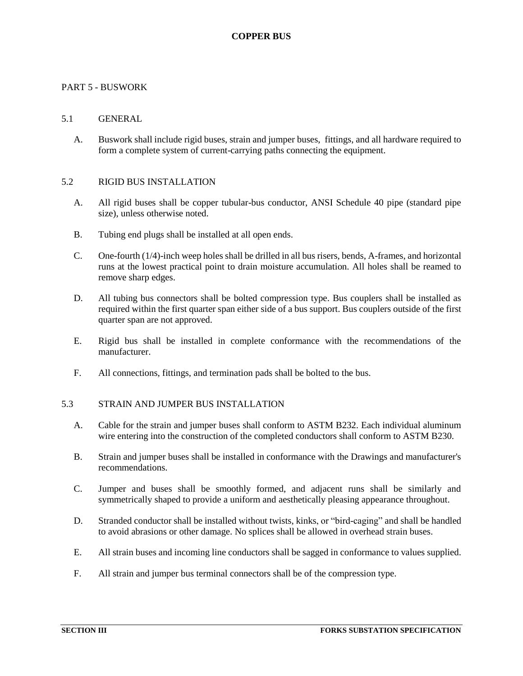### <span id="page-28-1"></span><span id="page-28-0"></span>PART 5 - BUSWORK

### 5.1 GENERAL

A. Buswork shall include rigid buses, strain and jumper buses, fittings, and all hardware required to form a complete system of current-carrying paths connecting the equipment.

#### <span id="page-28-2"></span>5.2 RIGID BUS INSTALLATION

- A. All rigid buses shall be copper tubular-bus conductor, ANSI Schedule 40 pipe (standard pipe size), unless otherwise noted.
- B. Tubing end plugs shall be installed at all open ends.
- C. One-fourth (1/4)-inch weep holes shall be drilled in all bus risers, bends, A-frames, and horizontal runs at the lowest practical point to drain moisture accumulation. All holes shall be reamed to remove sharp edges.
- D. All tubing bus connectors shall be bolted compression type. Bus couplers shall be installed as required within the first quarter span either side of a bus support. Bus couplers outside of the first quarter span are not approved.
- E. Rigid bus shall be installed in complete conformance with the recommendations of the manufacturer.
- <span id="page-28-3"></span>F. All connections, fittings, and termination pads shall be bolted to the bus.

### 5.3 STRAIN AND JUMPER BUS INSTALLATION

- A. Cable for the strain and jumper buses shall conform to ASTM B232. Each individual aluminum wire entering into the construction of the completed conductors shall conform to ASTM B230.
- B. Strain and jumper buses shall be installed in conformance with the Drawings and manufacturer's recommendations.
- C. Jumper and buses shall be smoothly formed, and adjacent runs shall be similarly and symmetrically shaped to provide a uniform and aesthetically pleasing appearance throughout.
- D. Stranded conductor shall be installed without twists, kinks, or "bird-caging" and shall be handled to avoid abrasions or other damage. No splices shall be allowed in overhead strain buses.
- E. All strain buses and incoming line conductors shall be sagged in conformance to values supplied.
- F. All strain and jumper bus terminal connectors shall be of the compression type.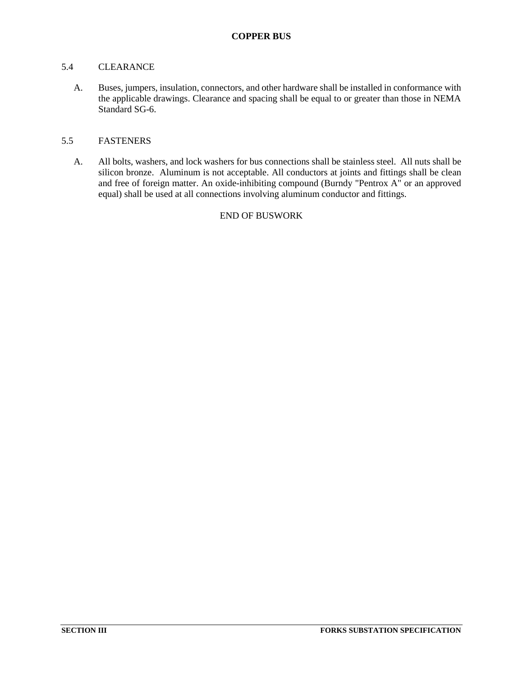### <span id="page-29-0"></span>5.4 CLEARANCE

A. Buses, jumpers, insulation, connectors, and other hardware shall be installed in conformance with the applicable drawings. Clearance and spacing shall be equal to or greater than those in NEMA Standard SG-6.

# <span id="page-29-1"></span>5.5 FASTENERS

A. All bolts, washers, and lock washers for bus connections shall be stainless steel. All nuts shall be silicon bronze. Aluminum is not acceptable. All conductors at joints and fittings shall be clean and free of foreign matter. An oxide-inhibiting compound (Burndy "Pentrox A" or an approved equal) shall be used at all connections involving aluminum conductor and fittings.

# END OF BUSWORK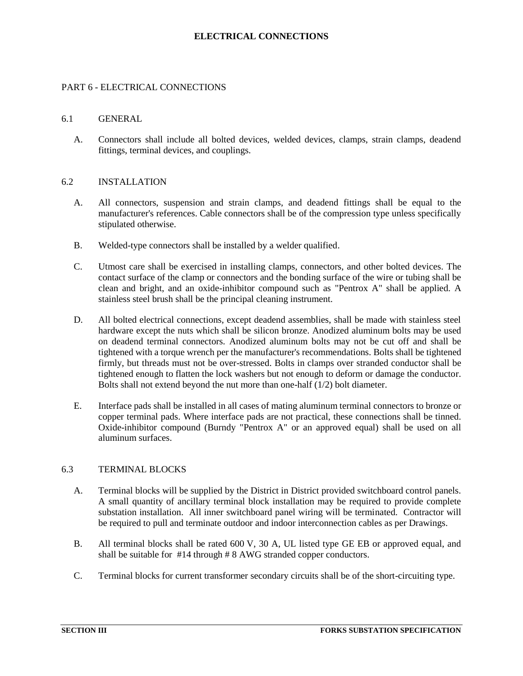### **ELECTRICAL CONNECTIONS**

### <span id="page-30-1"></span><span id="page-30-0"></span>PART 6 - ELECTRICAL CONNECTIONS

#### 6.1 GENERAL

A. Connectors shall include all bolted devices, welded devices, clamps, strain clamps, deadend fittings, terminal devices, and couplings.

#### <span id="page-30-2"></span>6.2 INSTALLATION

- A. All connectors, suspension and strain clamps, and deadend fittings shall be equal to the manufacturer's references. Cable connectors shall be of the compression type unless specifically stipulated otherwise.
- B. Welded-type connectors shall be installed by a welder qualified.
- C. Utmost care shall be exercised in installing clamps, connectors, and other bolted devices. The contact surface of the clamp or connectors and the bonding surface of the wire or tubing shall be clean and bright, and an oxide-inhibitor compound such as "Pentrox A" shall be applied. A stainless steel brush shall be the principal cleaning instrument.
- D. All bolted electrical connections, except deadend assemblies, shall be made with stainless steel hardware except the nuts which shall be silicon bronze. Anodized aluminum bolts may be used on deadend terminal connectors. Anodized aluminum bolts may not be cut off and shall be tightened with a torque wrench per the manufacturer's recommendations. Bolts shall be tightened firmly, but threads must not be over-stressed. Bolts in clamps over stranded conductor shall be tightened enough to flatten the lock washers but not enough to deform or damage the conductor. Bolts shall not extend beyond the nut more than one-half (1/2) bolt diameter.
- E. Interface pads shall be installed in all cases of mating aluminum terminal connectors to bronze or copper terminal pads. Where interface pads are not practical, these connections shall be tinned. Oxide-inhibitor compound (Burndy "Pentrox A" or an approved equal) shall be used on all aluminum surfaces.

### <span id="page-30-3"></span>6.3 TERMINAL BLOCKS

- A. Terminal blocks will be supplied by the District in District provided switchboard control panels. A small quantity of ancillary terminal block installation may be required to provide complete substation installation. All inner switchboard panel wiring will be terminated. Contractor will be required to pull and terminate outdoor and indoor interconnection cables as per Drawings.
- B. All terminal blocks shall be rated 600 V, 30 A, UL listed type GE EB or approved equal, and shall be suitable for #14 through # 8 AWG stranded copper conductors.
- C. Terminal blocks for current transformer secondary circuits shall be of the short-circuiting type.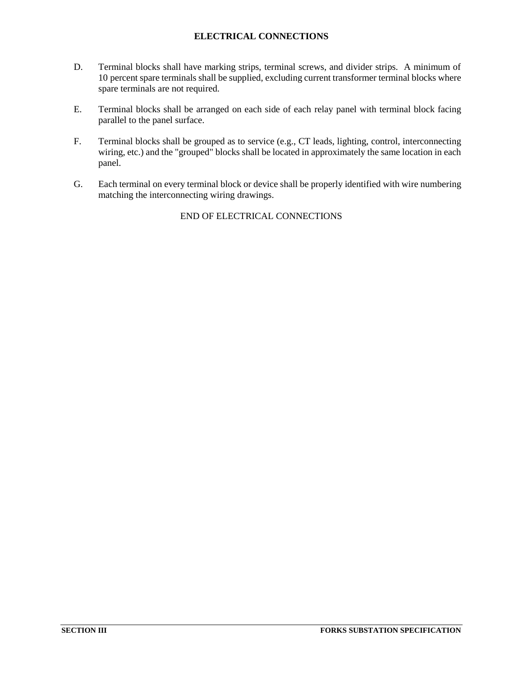# **ELECTRICAL CONNECTIONS**

- D. Terminal blocks shall have marking strips, terminal screws, and divider strips. A minimum of 10 percent spare terminals shall be supplied, excluding current transformer terminal blocks where spare terminals are not required.
- E. Terminal blocks shall be arranged on each side of each relay panel with terminal block facing parallel to the panel surface.
- F. Terminal blocks shall be grouped as to service (e.g., CT leads, lighting, control, interconnecting wiring, etc.) and the "grouped" blocks shall be located in approximately the same location in each panel.
- G. Each terminal on every terminal block or device shall be properly identified with wire numbering matching the interconnecting wiring drawings.

END OF ELECTRICAL CONNECTIONS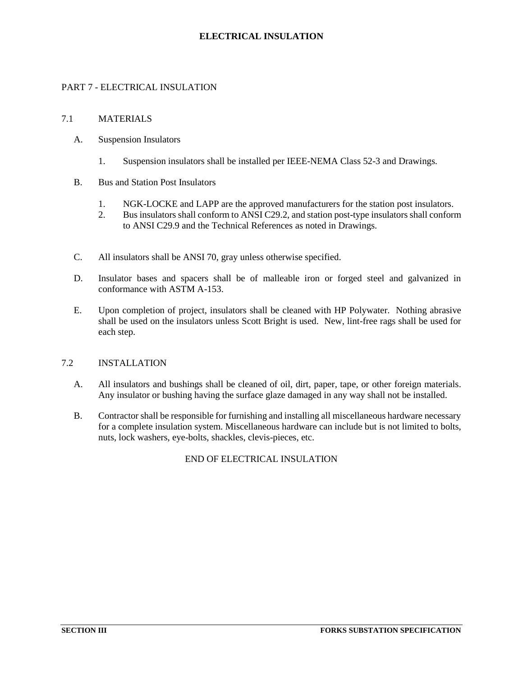### **ELECTRICAL INSULATION**

# <span id="page-32-1"></span><span id="page-32-0"></span>PART 7 - ELECTRICAL INSULATION

### 7.1 MATERIALS

- A. Suspension Insulators
	- 1. Suspension insulators shall be installed per IEEE-NEMA Class 52-3 and Drawings.
- B. Bus and Station Post Insulators
	- 1. NGK-LOCKE and LAPP are the approved manufacturers for the station post insulators.
	- 2. Bus insulators shall conform to ANSI C29.2, and station post-type insulators shall conform to ANSI C29.9 and the Technical References as noted in Drawings.
- C. All insulators shall be ANSI 70, gray unless otherwise specified.
- D. Insulator bases and spacers shall be of malleable iron or forged steel and galvanized in conformance with ASTM A-153.
- E. Upon completion of project, insulators shall be cleaned with HP Polywater. Nothing abrasive shall be used on the insulators unless Scott Bright is used. New, lint-free rags shall be used for each step.

#### <span id="page-32-2"></span>7.2 INSTALLATION

- A. All insulators and bushings shall be cleaned of oil, dirt, paper, tape, or other foreign materials. Any insulator or bushing having the surface glaze damaged in any way shall not be installed.
- B. Contractor shall be responsible for furnishing and installing all miscellaneous hardware necessary for a complete insulation system. Miscellaneous hardware can include but is not limited to bolts, nuts, lock washers, eye-bolts, shackles, clevis-pieces, etc.

END OF ELECTRICAL INSULATION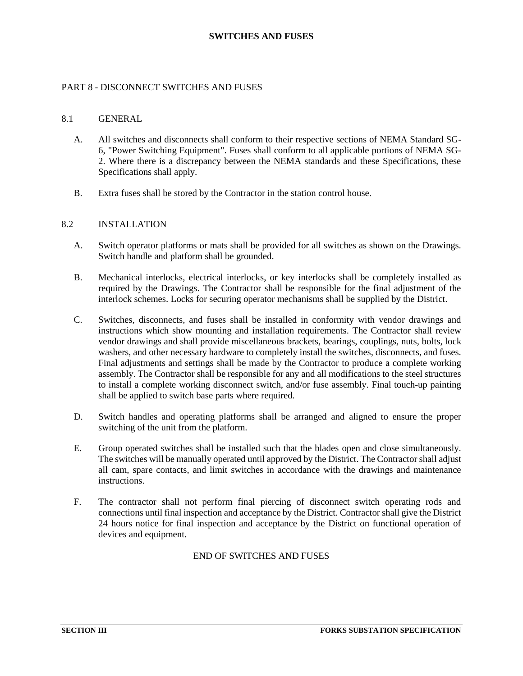### **SWITCHES AND FUSES**

#### <span id="page-33-1"></span><span id="page-33-0"></span>PART 8 - DISCONNECT SWITCHES AND FUSES

#### 8.1 GENERAL

- A. All switches and disconnects shall conform to their respective sections of NEMA Standard SG-6, "Power Switching Equipment". Fuses shall conform to all applicable portions of NEMA SG-2. Where there is a discrepancy between the NEMA standards and these Specifications, these Specifications shall apply.
- <span id="page-33-2"></span>B. Extra fuses shall be stored by the Contractor in the station control house.

#### 8.2 INSTALLATION

- A. Switch operator platforms or mats shall be provided for all switches as shown on the Drawings. Switch handle and platform shall be grounded.
- B. Mechanical interlocks, electrical interlocks, or key interlocks shall be completely installed as required by the Drawings. The Contractor shall be responsible for the final adjustment of the interlock schemes. Locks for securing operator mechanisms shall be supplied by the District.
- C. Switches, disconnects, and fuses shall be installed in conformity with vendor drawings and instructions which show mounting and installation requirements. The Contractor shall review vendor drawings and shall provide miscellaneous brackets, bearings, couplings, nuts, bolts, lock washers, and other necessary hardware to completely install the switches, disconnects, and fuses. Final adjustments and settings shall be made by the Contractor to produce a complete working assembly. The Contractor shall be responsible for any and all modifications to the steel structures to install a complete working disconnect switch, and/or fuse assembly. Final touch-up painting shall be applied to switch base parts where required.
- D. Switch handles and operating platforms shall be arranged and aligned to ensure the proper switching of the unit from the platform.
- E. Group operated switches shall be installed such that the blades open and close simultaneously. The switches will be manually operated until approved by the District. The Contractor shall adjust all cam, spare contacts, and limit switches in accordance with the drawings and maintenance instructions.
- F. The contractor shall not perform final piercing of disconnect switch operating rods and connections until final inspection and acceptance by the District. Contractor shall give the District 24 hours notice for final inspection and acceptance by the District on functional operation of devices and equipment.

### END OF SWITCHES AND FUSES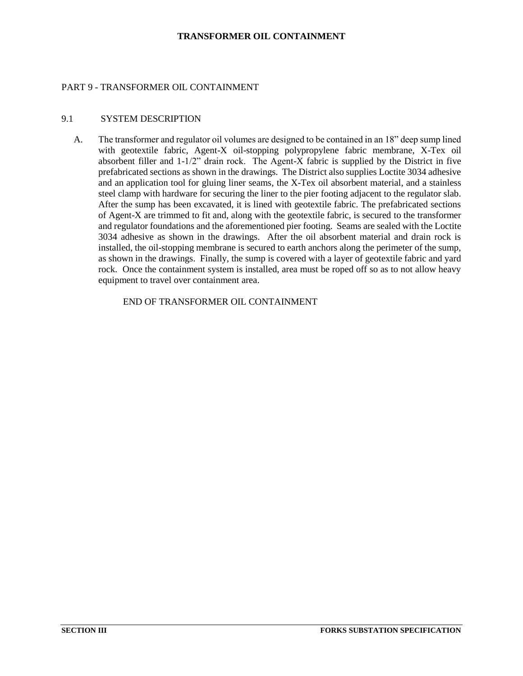#### **TRANSFORMER OIL CONTAINMENT**

### <span id="page-34-1"></span><span id="page-34-0"></span>PART 9 - TRANSFORMER OIL CONTAINMENT

#### 9.1 SYSTEM DESCRIPTION

A. The transformer and regulator oil volumes are designed to be contained in an 18" deep sump lined with geotextile fabric, Agent-X oil-stopping polypropylene fabric membrane, X-Tex oil absorbent filler and 1-1/2" drain rock. The Agent-X fabric is supplied by the District in five prefabricated sections as shown in the drawings. The District also supplies Loctite 3034 adhesive and an application tool for gluing liner seams, the X-Tex oil absorbent material, and a stainless steel clamp with hardware for securing the liner to the pier footing adjacent to the regulator slab. After the sump has been excavated, it is lined with geotextile fabric. The prefabricated sections of Agent-X are trimmed to fit and, along with the geotextile fabric, is secured to the transformer and regulator foundations and the aforementioned pier footing. Seams are sealed with the Loctite 3034 adhesive as shown in the drawings. After the oil absorbent material and drain rock is installed, the oil-stopping membrane is secured to earth anchors along the perimeter of the sump, as shown in the drawings. Finally, the sump is covered with a layer of geotextile fabric and yard rock. Once the containment system is installed, area must be roped off so as to not allow heavy equipment to travel over containment area.

END OF TRANSFORMER OIL CONTAINMENT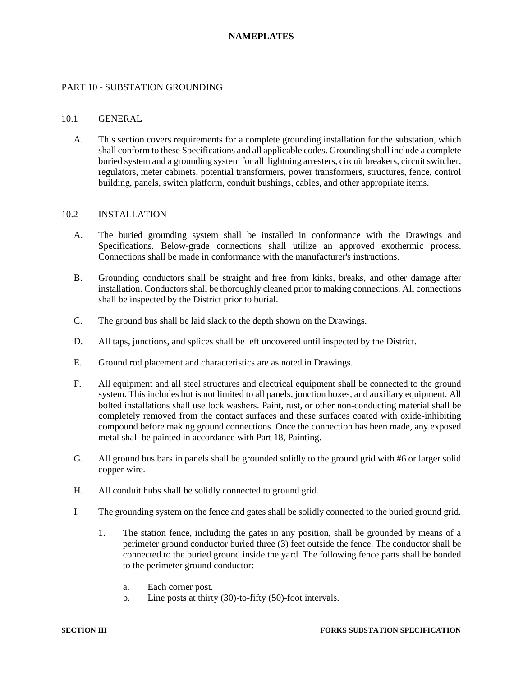### **NAMEPLATES**

### <span id="page-35-1"></span><span id="page-35-0"></span>PART 10 - SUBSTATION GROUNDING

#### 10.1 GENERAL

A. This section covers requirements for a complete grounding installation for the substation, which shall conform to these Specifications and all applicable codes. Grounding shall include a complete buried system and a grounding system for all lightning arresters, circuit breakers, circuit switcher, regulators, meter cabinets, potential transformers, power transformers, structures, fence, control building, panels, switch platform, conduit bushings, cables, and other appropriate items.

#### <span id="page-35-2"></span>10.2 INSTALLATION

- A. The buried grounding system shall be installed in conformance with the Drawings and Specifications. Below-grade connections shall utilize an approved exothermic process. Connections shall be made in conformance with the manufacturer's instructions.
- B. Grounding conductors shall be straight and free from kinks, breaks, and other damage after installation. Conductors shall be thoroughly cleaned prior to making connections. All connections shall be inspected by the District prior to burial.
- C. The ground bus shall be laid slack to the depth shown on the Drawings.
- D. All taps, junctions, and splices shall be left uncovered until inspected by the District.
- E. Ground rod placement and characteristics are as noted in Drawings.
- F. All equipment and all steel structures and electrical equipment shall be connected to the ground system. This includes but is not limited to all panels, junction boxes, and auxiliary equipment. All bolted installations shall use lock washers. Paint, rust, or other non-conducting material shall be completely removed from the contact surfaces and these surfaces coated with oxide-inhibiting compound before making ground connections. Once the connection has been made, any exposed metal shall be painted in accordance with Part 18, Painting.
- G. All ground bus bars in panels shall be grounded solidly to the ground grid with #6 or larger solid copper wire.
- H. All conduit hubs shall be solidly connected to ground grid.
- I. The grounding system on the fence and gates shall be solidly connected to the buried ground grid.
	- 1. The station fence, including the gates in any position, shall be grounded by means of a perimeter ground conductor buried three (3) feet outside the fence. The conductor shall be connected to the buried ground inside the yard. The following fence parts shall be bonded to the perimeter ground conductor:
		- a. Each corner post.
		- b. Line posts at thirty (30)-to-fifty (50)-foot intervals.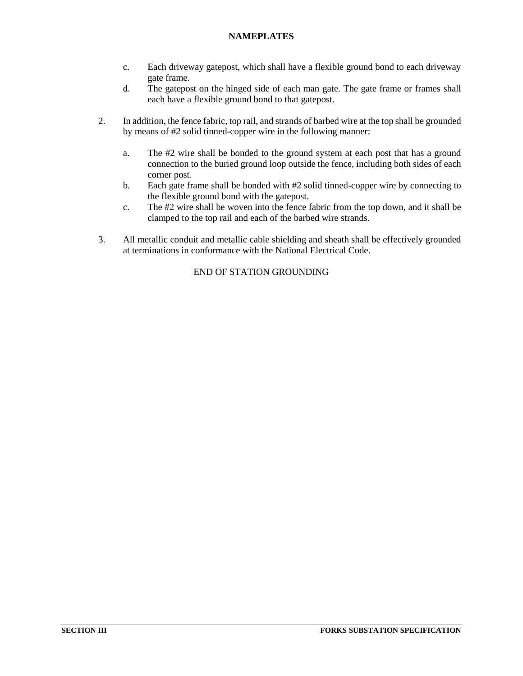# **NAMEPLATES**

- c. Each driveway gatepost, which shall have a flexible ground bond to each driveway gate frame.
- d. The gatepost on the hinged side of each man gate. The gate frame or frames shall each have a flexible ground bond to that gatepost.
- 2. In addition, the fence fabric, top rail, and strands of barbed wire at the top shall be grounded by means of #2 solid tinned-copper wire in the following manner:
	- a. The #2 wire shall be bonded to the ground system at each post that has a ground connection to the buried ground loop outside the fence, including both sides of each corner post.
	- b. Each gate frame shall be bonded with #2 solid tinned-copper wire by connecting to the flexible ground bond with the gatepost.
	- c. The #2 wire shall be woven into the fence fabric from the top down, and it shall be clamped to the top rail and each of the barbed wire strands.
- 3. All metallic conduit and metallic cable shielding and sheath shall be effectively grounded at terminations in conformance with the National Electrical Code.

# END OF STATION GROUNDING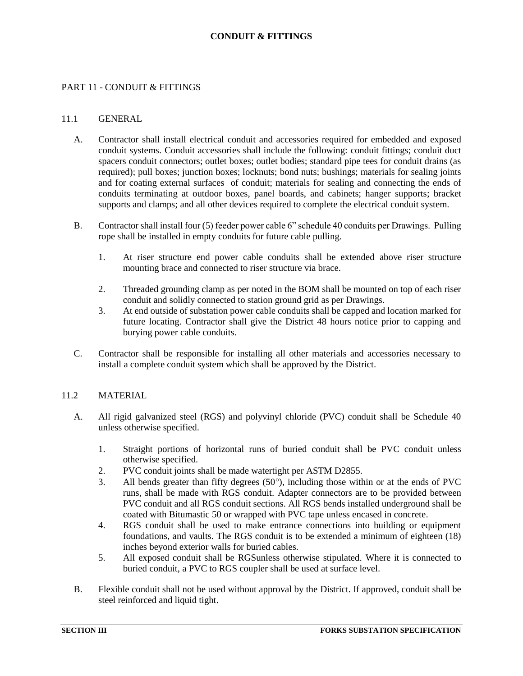### **CONDUIT & FITTINGS**

### <span id="page-37-1"></span><span id="page-37-0"></span>PART 11 - CONDUIT & FITTINGS

#### 11.1 GENERAL

- A. Contractor shall install electrical conduit and accessories required for embedded and exposed conduit systems. Conduit accessories shall include the following: conduit fittings; conduit duct spacers conduit connectors; outlet boxes; outlet bodies; standard pipe tees for conduit drains (as required); pull boxes; junction boxes; locknuts; bond nuts; bushings; materials for sealing joints and for coating external surfaces of conduit; materials for sealing and connecting the ends of conduits terminating at outdoor boxes, panel boards, and cabinets; hanger supports; bracket supports and clamps; and all other devices required to complete the electrical conduit system.
- B. Contractor shall install four (5) feeder power cable 6" schedule 40 conduits per Drawings. Pulling rope shall be installed in empty conduits for future cable pulling.
	- 1. At riser structure end power cable conduits shall be extended above riser structure mounting brace and connected to riser structure via brace.
	- 2. Threaded grounding clamp as per noted in the BOM shall be mounted on top of each riser conduit and solidly connected to station ground grid as per Drawings.
	- 3. At end outside of substation power cable conduits shall be capped and location marked for future locating. Contractor shall give the District 48 hours notice prior to capping and burying power cable conduits.
- C. Contractor shall be responsible for installing all other materials and accessories necessary to install a complete conduit system which shall be approved by the District.

### <span id="page-37-2"></span>11.2 MATERIAL

- A. All rigid galvanized steel (RGS) and polyvinyl chloride (PVC) conduit shall be Schedule 40 unless otherwise specified.
	- 1. Straight portions of horizontal runs of buried conduit shall be PVC conduit unless otherwise specified.
	- 2. PVC conduit joints shall be made watertight per ASTM D2855.
	- 3. All bends greater than fifty degrees  $(50^{\circ})$ , including those within or at the ends of PVC runs, shall be made with RGS conduit. Adapter connectors are to be provided between PVC conduit and all RGS conduit sections. All RGS bends installed underground shall be coated with Bitumastic 50 or wrapped with PVC tape unless encased in concrete.
	- 4. RGS conduit shall be used to make entrance connections into building or equipment foundations, and vaults. The RGS conduit is to be extended a minimum of eighteen (18) inches beyond exterior walls for buried cables.
	- 5. All exposed conduit shall be RGSunless otherwise stipulated. Where it is connected to buried conduit, a PVC to RGS coupler shall be used at surface level.
- B. Flexible conduit shall not be used without approval by the District. If approved, conduit shall be steel reinforced and liquid tight.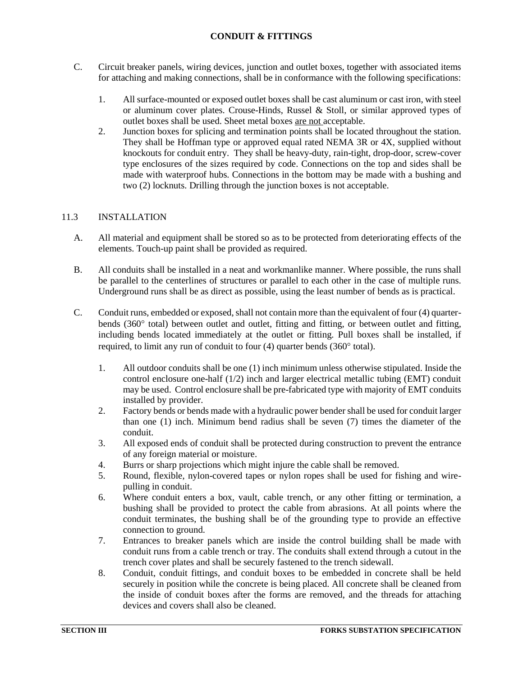# **CONDUIT & FITTINGS**

- C. Circuit breaker panels, wiring devices, junction and outlet boxes, together with associated items for attaching and making connections, shall be in conformance with the following specifications:
	- 1. All surface-mounted or exposed outlet boxes shall be cast aluminum or cast iron, with steel or aluminum cover plates. Crouse-Hinds, Russel & Stoll, or similar approved types of outlet boxes shall be used. Sheet metal boxes are not acceptable.
	- 2. Junction boxes for splicing and termination points shall be located throughout the station. They shall be Hoffman type or approved equal rated NEMA 3R or 4X, supplied without knockouts for conduit entry. They shall be heavy-duty, rain-tight, drop-door, screw-cover type enclosures of the sizes required by code. Connections on the top and sides shall be made with waterproof hubs. Connections in the bottom may be made with a bushing and two (2) locknuts. Drilling through the junction boxes is not acceptable.

# <span id="page-38-0"></span>11.3 INSTALLATION

- A. All material and equipment shall be stored so as to be protected from deteriorating effects of the elements. Touch-up paint shall be provided as required.
- B. All conduits shall be installed in a neat and workmanlike manner. Where possible, the runs shall be parallel to the centerlines of structures or parallel to each other in the case of multiple runs. Underground runs shall be as direct as possible, using the least number of bends as is practical.
- C. Conduit runs, embedded or exposed, shall not contain more than the equivalent of four (4) quarterbends  $(360^{\circ}$  total) between outlet and outlet, fitting and fitting, or between outlet and fitting, including bends located immediately at the outlet or fitting. Pull boxes shall be installed, if required, to limit any run of conduit to four  $(4)$  quarter bends  $(360^{\circ}$  total).
	- 1. All outdoor conduits shall be one (1) inch minimum unless otherwise stipulated. Inside the control enclosure one-half (1/2) inch and larger electrical metallic tubing (EMT) conduit may be used. Control enclosure shall be pre-fabricated type with majority of EMT conduits installed by provider.
	- 2. Factory bends or bends made with a hydraulic power bender shall be used for conduit larger than one (1) inch. Minimum bend radius shall be seven (7) times the diameter of the conduit.
	- 3. All exposed ends of conduit shall be protected during construction to prevent the entrance of any foreign material or moisture.
	- 4. Burrs or sharp projections which might injure the cable shall be removed.
	- 5. Round, flexible, nylon-covered tapes or nylon ropes shall be used for fishing and wirepulling in conduit.
	- 6. Where conduit enters a box, vault, cable trench, or any other fitting or termination, a bushing shall be provided to protect the cable from abrasions. At all points where the conduit terminates, the bushing shall be of the grounding type to provide an effective connection to ground.
	- 7. Entrances to breaker panels which are inside the control building shall be made with conduit runs from a cable trench or tray. The conduits shall extend through a cutout in the trench cover plates and shall be securely fastened to the trench sidewall.
	- 8. Conduit, conduit fittings, and conduit boxes to be embedded in concrete shall be held securely in position while the concrete is being placed. All concrete shall be cleaned from the inside of conduit boxes after the forms are removed, and the threads for attaching devices and covers shall also be cleaned.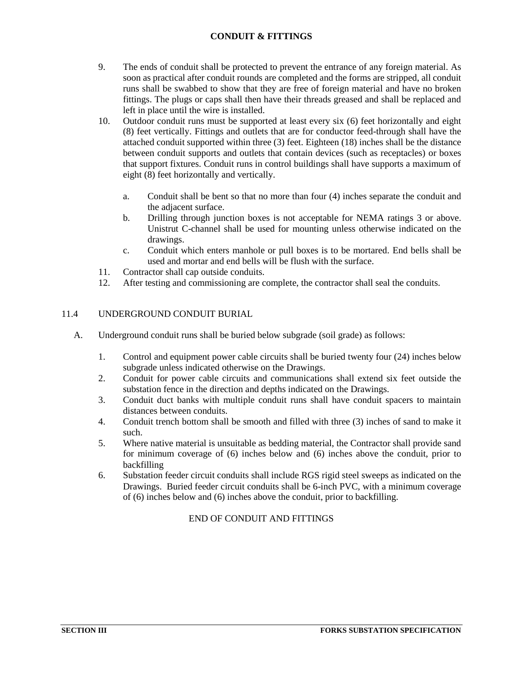# **CONDUIT & FITTINGS**

- 9. The ends of conduit shall be protected to prevent the entrance of any foreign material. As soon as practical after conduit rounds are completed and the forms are stripped, all conduit runs shall be swabbed to show that they are free of foreign material and have no broken fittings. The plugs or caps shall then have their threads greased and shall be replaced and left in place until the wire is installed.
- 10. Outdoor conduit runs must be supported at least every six (6) feet horizontally and eight (8) feet vertically. Fittings and outlets that are for conductor feed-through shall have the attached conduit supported within three (3) feet. Eighteen (18) inches shall be the distance between conduit supports and outlets that contain devices (such as receptacles) or boxes that support fixtures. Conduit runs in control buildings shall have supports a maximum of eight (8) feet horizontally and vertically.
	- a. Conduit shall be bent so that no more than four (4) inches separate the conduit and the adjacent surface.
	- b. Drilling through junction boxes is not acceptable for NEMA ratings 3 or above. Unistrut C-channel shall be used for mounting unless otherwise indicated on the drawings.
	- c. Conduit which enters manhole or pull boxes is to be mortared. End bells shall be used and mortar and end bells will be flush with the surface.
- 11. Contractor shall cap outside conduits.
- 12. After testing and commissioning are complete, the contractor shall seal the conduits.

# <span id="page-39-0"></span>11.4 UNDERGROUND CONDUIT BURIAL

- A. Underground conduit runs shall be buried below subgrade (soil grade) as follows:
	- 1. Control and equipment power cable circuits shall be buried twenty four (24) inches below subgrade unless indicated otherwise on the Drawings.
	- 2. Conduit for power cable circuits and communications shall extend six feet outside the substation fence in the direction and depths indicated on the Drawings.
	- 3. Conduit duct banks with multiple conduit runs shall have conduit spacers to maintain distances between conduits.
	- 4. Conduit trench bottom shall be smooth and filled with three (3) inches of sand to make it such.
	- 5. Where native material is unsuitable as bedding material, the Contractor shall provide sand for minimum coverage of (6) inches below and (6) inches above the conduit, prior to backfilling
	- 6. Substation feeder circuit conduits shall include RGS rigid steel sweeps as indicated on the Drawings. Buried feeder circuit conduits shall be 6-inch PVC, with a minimum coverage of (6) inches below and (6) inches above the conduit, prior to backfilling.

# END OF CONDUIT AND FITTINGS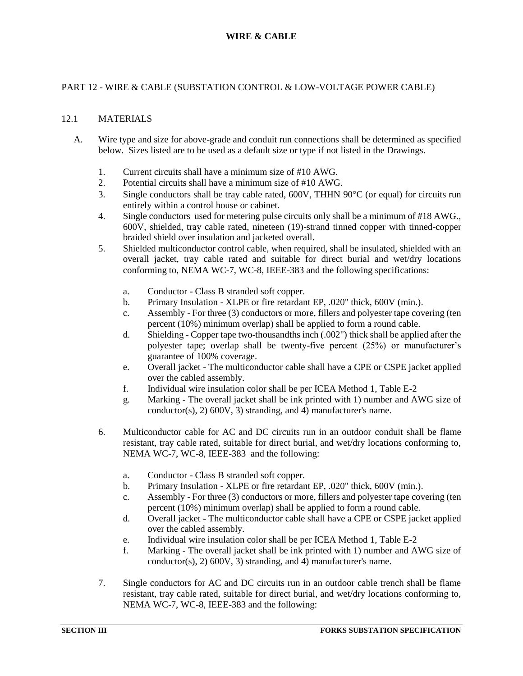# <span id="page-40-1"></span><span id="page-40-0"></span>PART 12 - WIRE & CABLE (SUBSTATION CONTROL & LOW-VOLTAGE POWER CABLE)

### 12.1 MATERIALS

- A. Wire type and size for above-grade and conduit run connections shall be determined as specified below. Sizes listed are to be used as a default size or type if not listed in the Drawings.
	- 1. Current circuits shall have a minimum size of #10 AWG.
	- 2. Potential circuits shall have a minimum size of #10 AWG.
	- 3. Single conductors shall be tray cable rated,  $600V$ , THHN  $90^{\circ}$ C (or equal) for circuits run entirely within a control house or cabinet.
	- 4. Single conductors used for metering pulse circuits only shall be a minimum of #18 AWG., 600V, shielded, tray cable rated, nineteen (19)-strand tinned copper with tinned-copper braided shield over insulation and jacketed overall.
	- 5. Shielded multiconductor control cable, when required, shall be insulated, shielded with an overall jacket, tray cable rated and suitable for direct burial and wet/dry locations conforming to, NEMA WC-7, WC-8, IEEE-383 and the following specifications:
		- a. Conductor Class B stranded soft copper.
		- b. Primary Insulation XLPE or fire retardant EP, .020" thick, 600V (min.).
		- c. Assembly For three (3) conductors or more, fillers and polyester tape covering (ten percent (10%) minimum overlap) shall be applied to form a round cable.
		- d. Shielding Copper tape two-thousandths inch (.002") thick shall be applied after the polyester tape; overlap shall be twenty-five percent (25%) or manufacturer's guarantee of 100% coverage.
		- e. Overall jacket The multiconductor cable shall have a CPE or CSPE jacket applied over the cabled assembly.
		- f. Individual wire insulation color shall be per ICEA Method 1, Table E-2
		- g. Marking The overall jacket shall be ink printed with 1) number and AWG size of conductor(s), 2) 600V, 3) stranding, and 4) manufacturer's name.
	- 6. Multiconductor cable for AC and DC circuits run in an outdoor conduit shall be flame resistant, tray cable rated, suitable for direct burial, and wet/dry locations conforming to, NEMA WC-7, WC-8, IEEE-383 and the following:
		- a. Conductor Class B stranded soft copper.
		- b. Primary Insulation XLPE or fire retardant EP, .020" thick, 600V (min.).
		- c. Assembly For three (3) conductors or more, fillers and polyester tape covering (ten percent (10%) minimum overlap) shall be applied to form a round cable.
		- d. Overall jacket The multiconductor cable shall have a CPE or CSPE jacket applied over the cabled assembly.
		- e. Individual wire insulation color shall be per ICEA Method 1, Table E-2
		- f. Marking The overall jacket shall be ink printed with 1) number and AWG size of conductor(s), 2) 600V, 3) stranding, and 4) manufacturer's name.
	- 7. Single conductors for AC and DC circuits run in an outdoor cable trench shall be flame resistant, tray cable rated, suitable for direct burial, and wet/dry locations conforming to, NEMA WC-7, WC-8, IEEE-383 and the following: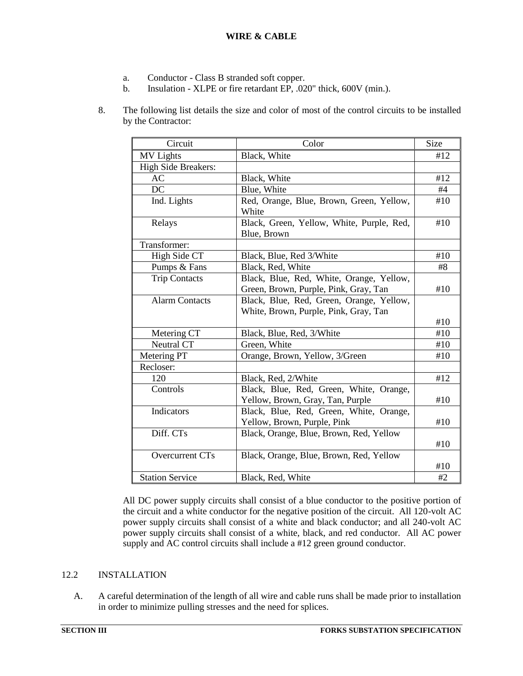- a. Conductor Class B stranded soft copper.
- b. Insulation XLPE or fire retardant EP, .020" thick, 600V (min.).
- 8. The following list details the size and color of most of the control circuits to be installed by the Contractor:

| Circuit                | Color                                                    | <b>Size</b> |
|------------------------|----------------------------------------------------------|-------------|
| <b>MV</b> Lights       | Black, White                                             | #12         |
| High Side Breakers:    |                                                          |             |
| AC                     | Black, White                                             | #12         |
| DC                     | Blue, White                                              | #4          |
| Ind. Lights            | Red, Orange, Blue, Brown, Green, Yellow,<br>White        | #10         |
| Relays                 | Black, Green, Yellow, White, Purple, Red,<br>Blue, Brown | #10         |
| Transformer:           |                                                          |             |
| High Side CT           | Black, Blue, Red 3/White                                 | #10         |
| Pumps & Fans           | Black, Red, White                                        | #8          |
| <b>Trip Contacts</b>   | Black, Blue, Red, White, Orange, Yellow,                 |             |
|                        | Green, Brown, Purple, Pink, Gray, Tan                    | #10         |
| <b>Alarm Contacts</b>  | Black, Blue, Red, Green, Orange, Yellow,                 |             |
|                        | White, Brown, Purple, Pink, Gray, Tan                    | #10         |
| Metering CT            | Black, Blue, Red, 3/White                                | #10         |
| Neutral CT             | Green, White                                             | #10         |
| Metering PT            | Orange, Brown, Yellow, 3/Green                           | #10         |
| Recloser:              |                                                          |             |
| 120                    | Black, Red, 2/White                                      | #12         |
| Controls               | Black, Blue, Red, Green, White, Orange,                  |             |
|                        | Yellow, Brown, Gray, Tan, Purple                         | #10         |
| Indicators             | Black, Blue, Red, Green, White, Orange,                  |             |
|                        | Yellow, Brown, Purple, Pink                              | #10         |
| Diff. CTs              | Black, Orange, Blue, Brown, Red, Yellow                  |             |
|                        |                                                          | #10         |
| Overcurrent CTs        | Black, Orange, Blue, Brown, Red, Yellow                  |             |
|                        |                                                          | #10         |
| <b>Station Service</b> | Black, Red, White                                        | #2          |

All DC power supply circuits shall consist of a blue conductor to the positive portion of the circuit and a white conductor for the negative position of the circuit. All 120-volt AC power supply circuits shall consist of a white and black conductor; and all 240-volt AC power supply circuits shall consist of a white, black, and red conductor. All AC power supply and AC control circuits shall include a #12 green ground conductor.

# <span id="page-41-0"></span>12.2 INSTALLATION

A. A careful determination of the length of all wire and cable runs shall be made prior to installation in order to minimize pulling stresses and the need for splices.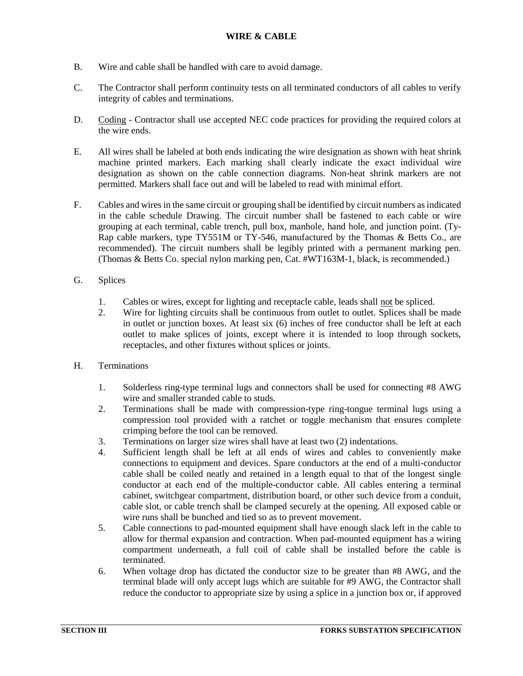- B. Wire and cable shall be handled with care to avoid damage.
- C. The Contractor shall perform continuity tests on all terminated conductors of all cables to verify integrity of cables and terminations.
- D. Coding Contractor shall use accepted NEC code practices for providing the required colors at the wire ends.
- E. All wires shall be labeled at both ends indicating the wire designation as shown with heat shrink machine printed markers. Each marking shall clearly indicate the exact individual wire designation as shown on the cable connection diagrams. Non-heat shrink markers are not permitted. Markers shall face out and will be labeled to read with minimal effort.
- F. Cables and wires in the same circuit or grouping shall be identified by circuit numbers as indicated in the cable schedule Drawing. The circuit number shall be fastened to each cable or wire grouping at each terminal, cable trench, pull box, manhole, hand hole, and junction point. (Ty-Rap cable markers, type TY551M or TY-546, manufactured by the Thomas & Betts Co., are recommended). The circuit numbers shall be legibly printed with a permanent marking pen. (Thomas & Betts Co. special nylon marking pen, Cat. #WT163M-1, black, is recommended.)
- G. Splices
	- 1. Cables or wires, except for lighting and receptacle cable, leads shall not be spliced.
	- 2. Wire for lighting circuits shall be continuous from outlet to outlet. Splices shall be made in outlet or junction boxes. At least six (6) inches of free conductor shall be left at each outlet to make splices of joints, except where it is intended to loop through sockets, receptacles, and other fixtures without splices or joints.
- H. Terminations
	- 1. Solderless ring-type terminal lugs and connectors shall be used for connecting #8 AWG wire and smaller stranded cable to studs.
	- 2. Terminations shall be made with compression-type ring-tongue terminal lugs using a compression tool provided with a ratchet or toggle mechanism that ensures complete crimping before the tool can be removed.
	- 3. Terminations on larger size wires shall have at least two (2) indentations.
	- 4. Sufficient length shall be left at all ends of wires and cables to conveniently make connections to equipment and devices. Spare conductors at the end of a multi-conductor cable shall be coiled neatly and retained in a length equal to that of the longest single conductor at each end of the multiple-conductor cable. All cables entering a terminal cabinet, switchgear compartment, distribution board, or other such device from a conduit, cable slot, or cable trench shall be clamped securely at the opening. All exposed cable or wire runs shall be bunched and tied so as to prevent movement.
	- 5. Cable connections to pad-mounted equipment shall have enough slack left in the cable to allow for thermal expansion and contraction. When pad-mounted equipment has a wiring compartment underneath, a full coil of cable shall be installed before the cable is terminated.
	- 6. When voltage drop has dictated the conductor size to be greater than #8 AWG, and the terminal blade will only accept lugs which are suitable for #9 AWG, the Contractor shall reduce the conductor to appropriate size by using a splice in a junction box or, if approved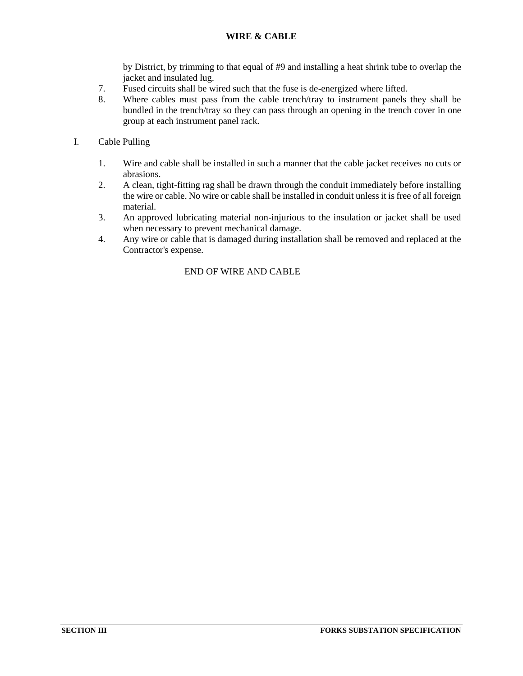# **WIRE & CABLE**

by District, by trimming to that equal of #9 and installing a heat shrink tube to overlap the jacket and insulated lug.

- 7. Fused circuits shall be wired such that the fuse is de-energized where lifted.
- 8. Where cables must pass from the cable trench/tray to instrument panels they shall be bundled in the trench/tray so they can pass through an opening in the trench cover in one group at each instrument panel rack.

# I. Cable Pulling

- 1. Wire and cable shall be installed in such a manner that the cable jacket receives no cuts or abrasions.
- 2. A clean, tight-fitting rag shall be drawn through the conduit immediately before installing the wire or cable. No wire or cable shall be installed in conduit unless it is free of all foreign material.
- 3. An approved lubricating material non-injurious to the insulation or jacket shall be used when necessary to prevent mechanical damage.
- 4. Any wire or cable that is damaged during installation shall be removed and replaced at the Contractor's expense.

### END OF WIRE AND CABLE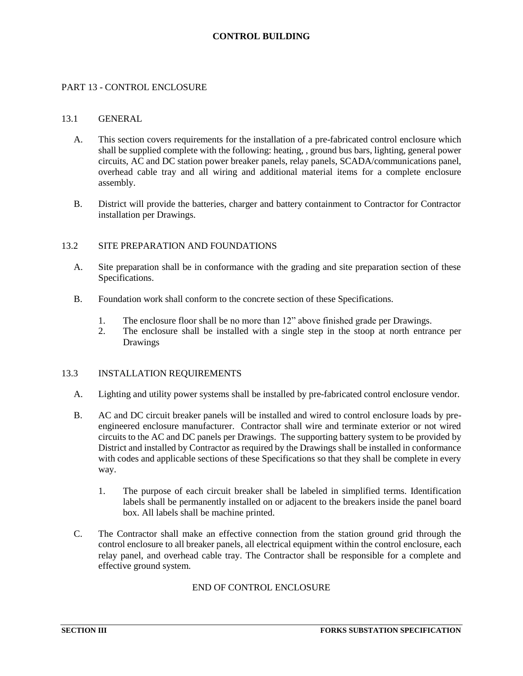### **CONTROL BUILDING**

### <span id="page-44-1"></span><span id="page-44-0"></span>PART 13 - CONTROL ENCLOSURE

#### 13.1 GENERAL

- A. This section covers requirements for the installation of a pre-fabricated control enclosure which shall be supplied complete with the following: heating, , ground bus bars, lighting, general power circuits, AC and DC station power breaker panels, relay panels, SCADA/communications panel, overhead cable tray and all wiring and additional material items for a complete enclosure assembly.
- B. District will provide the batteries, charger and battery containment to Contractor for Contractor installation per Drawings.

#### <span id="page-44-2"></span>13.2 SITE PREPARATION AND FOUNDATIONS

- A. Site preparation shall be in conformance with the grading and site preparation section of these Specifications.
- B. Foundation work shall conform to the concrete section of these Specifications.
	- 1. The enclosure floor shall be no more than 12" above finished grade per Drawings.
	- 2. The enclosure shall be installed with a single step in the stoop at north entrance per Drawings

### <span id="page-44-3"></span>13.3 INSTALLATION REQUIREMENTS

- A. Lighting and utility power systems shall be installed by pre-fabricated control enclosure vendor.
- B. AC and DC circuit breaker panels will be installed and wired to control enclosure loads by preengineered enclosure manufacturer. Contractor shall wire and terminate exterior or not wired circuits to the AC and DC panels per Drawings. The supporting battery system to be provided by District and installed by Contractor as required by the Drawings shall be installed in conformance with codes and applicable sections of these Specifications so that they shall be complete in every way.
	- 1. The purpose of each circuit breaker shall be labeled in simplified terms. Identification labels shall be permanently installed on or adjacent to the breakers inside the panel board box. All labels shall be machine printed.
- C. The Contractor shall make an effective connection from the station ground grid through the control enclosure to all breaker panels, all electrical equipment within the control enclosure, each relay panel, and overhead cable tray. The Contractor shall be responsible for a complete and effective ground system.

### END OF CONTROL ENCLOSURE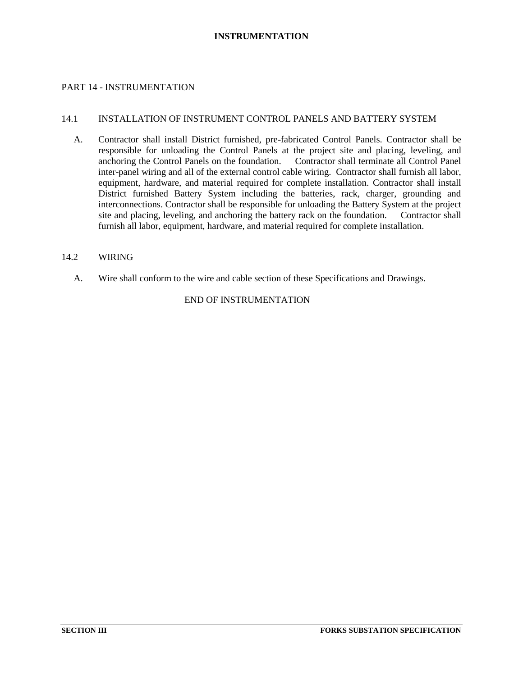### **INSTRUMENTATION**

### <span id="page-45-1"></span><span id="page-45-0"></span>PART 14 - INSTRUMENTATION

#### 14.1 INSTALLATION OF INSTRUMENT CONTROL PANELS AND BATTERY SYSTEM

A. Contractor shall install District furnished, pre-fabricated Control Panels. Contractor shall be responsible for unloading the Control Panels at the project site and placing, leveling, and anchoring the Control Panels on the foundation. Contractor shall terminate all Control Panel inter-panel wiring and all of the external control cable wiring. Contractor shall furnish all labor, equipment, hardware, and material required for complete installation. Contractor shall install District furnished Battery System including the batteries, rack, charger, grounding and interconnections. Contractor shall be responsible for unloading the Battery System at the project site and placing, leveling, and anchoring the battery rack on the foundation. Contractor shall furnish all labor, equipment, hardware, and material required for complete installation.

#### <span id="page-45-2"></span>14.2 WIRING

A. Wire shall conform to the wire and cable section of these Specifications and Drawings.

# END OF INSTRUMENTATION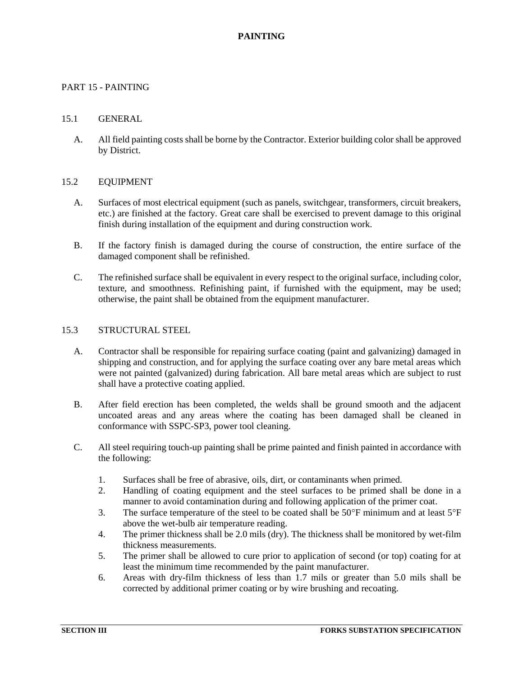# **PAINTING**

### <span id="page-46-1"></span><span id="page-46-0"></span>PART 15 - PAINTING

#### 15.1 GENERAL

A. All field painting costs shall be borne by the Contractor. Exterior building color shall be approved by District.

#### <span id="page-46-2"></span>15.2 EQUIPMENT

- A. Surfaces of most electrical equipment (such as panels, switchgear, transformers, circuit breakers, etc.) are finished at the factory. Great care shall be exercised to prevent damage to this original finish during installation of the equipment and during construction work.
- B. If the factory finish is damaged during the course of construction, the entire surface of the damaged component shall be refinished.
- C. The refinished surface shall be equivalent in every respect to the original surface, including color, texture, and smoothness. Refinishing paint, if furnished with the equipment, may be used; otherwise, the paint shall be obtained from the equipment manufacturer.

#### <span id="page-46-3"></span>15.3 STRUCTURAL STEEL

- A. Contractor shall be responsible for repairing surface coating (paint and galvanizing) damaged in shipping and construction, and for applying the surface coating over any bare metal areas which were not painted (galvanized) during fabrication. All bare metal areas which are subject to rust shall have a protective coating applied.
- B. After field erection has been completed, the welds shall be ground smooth and the adjacent uncoated areas and any areas where the coating has been damaged shall be cleaned in conformance with SSPC-SP3, power tool cleaning.
- C. All steel requiring touch-up painting shall be prime painted and finish painted in accordance with the following:
	- 1. Surfaces shall be free of abrasive, oils, dirt, or contaminants when primed.
	- 2. Handling of coating equipment and the steel surfaces to be primed shall be done in a manner to avoid contamination during and following application of the primer coat.
	- 3. The surface temperature of the steel to be coated shall be  $50^{\circ}$ F minimum and at least  $5^{\circ}$ F above the wet-bulb air temperature reading.
	- 4. The primer thickness shall be 2.0 mils (dry). The thickness shall be monitored by wet-film thickness measurements.
	- 5. The primer shall be allowed to cure prior to application of second (or top) coating for at least the minimum time recommended by the paint manufacturer.
	- 6. Areas with dry-film thickness of less than 1.7 mils or greater than 5.0 mils shall be corrected by additional primer coating or by wire brushing and recoating.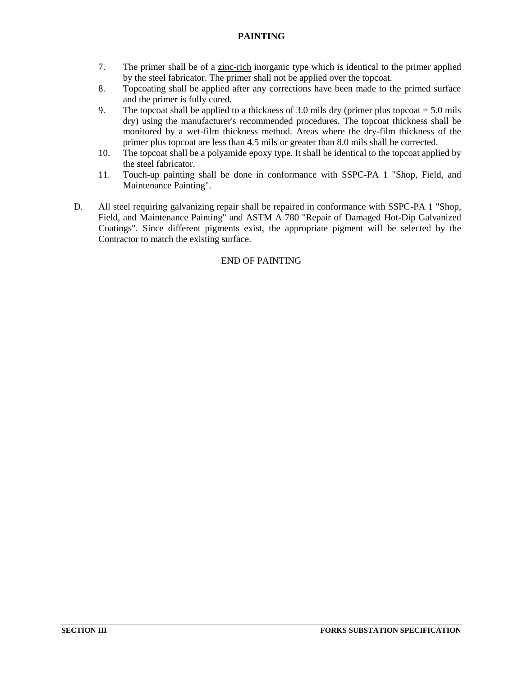# **PAINTING**

- 7. The primer shall be of a zinc-rich inorganic type which is identical to the primer applied by the steel fabricator. The primer shall not be applied over the topcoat.
- 8. Topcoating shall be applied after any corrections have been made to the primed surface and the primer is fully cured.
- 9. The topcoat shall be applied to a thickness of 3.0 mils dry (primer plus topcoat  $= 5.0$  mils dry) using the manufacturer's recommended procedures. The topcoat thickness shall be monitored by a wet-film thickness method. Areas where the dry-film thickness of the primer plus topcoat are less than 4.5 mils or greater than 8.0 mils shall be corrected.
- 10. The topcoat shall be a polyamide epoxy type. It shall be identical to the topcoat applied by the steel fabricator.
- 11. Touch-up painting shall be done in conformance with SSPC-PA 1 "Shop, Field, and Maintenance Painting".
- D. All steel requiring galvanizing repair shall be repaired in conformance with SSPC-PA 1 "Shop, Field, and Maintenance Painting" and ASTM A 780 "Repair of Damaged Hot-Dip Galvanized Coatings". Since different pigments exist, the appropriate pigment will be selected by the Contractor to match the existing surface.

# END OF PAINTING